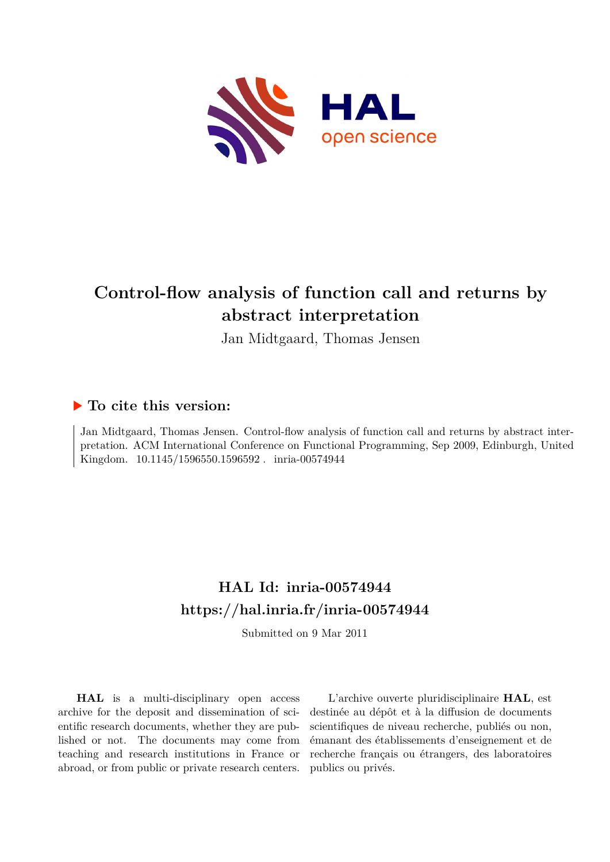

# **Control-flow analysis of function call and returns by abstract interpretation**

Jan Midtgaard, Thomas Jensen

# **To cite this version:**

Jan Midtgaard, Thomas Jensen. Control-flow analysis of function call and returns by abstract interpretation. ACM International Conference on Functional Programming, Sep 2009, Edinburgh, United Kingdom.  $10.1145/1596550.1596592$ . inria-00574944

# **HAL Id: inria-00574944 <https://hal.inria.fr/inria-00574944>**

Submitted on 9 Mar 2011

**HAL** is a multi-disciplinary open access archive for the deposit and dissemination of scientific research documents, whether they are published or not. The documents may come from teaching and research institutions in France or abroad, or from public or private research centers.

L'archive ouverte pluridisciplinaire **HAL**, est destinée au dépôt et à la diffusion de documents scientifiques de niveau recherche, publiés ou non, émanant des établissements d'enseignement et de recherche français ou étrangers, des laboratoires publics ou privés.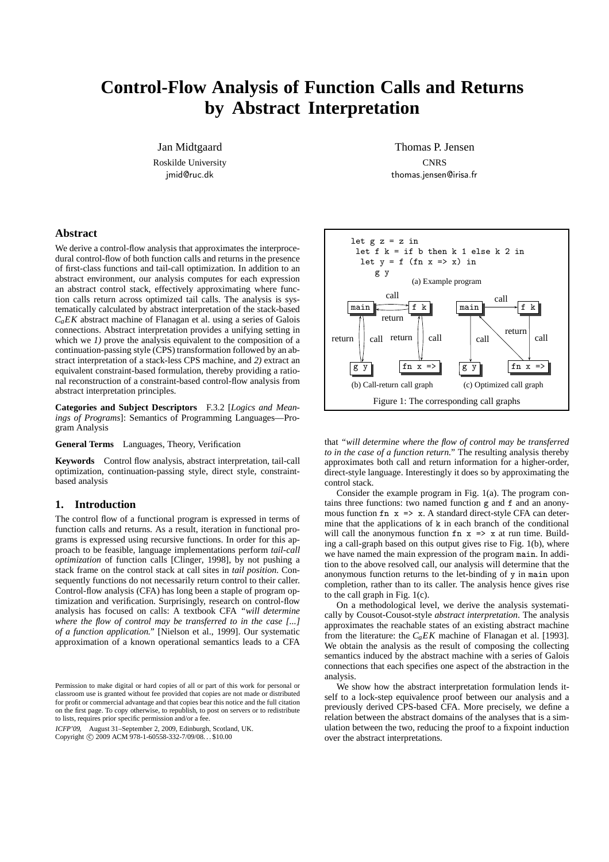# **Control-Flow Analysis of Function Calls and Returns by Abstract Interpretation**

Jan Midtgaard

Roskilde University jmid@ruc.dk

# **Abstract**

We derive a control-flow analysis that approximates the interprocedural control-flow of both function calls and returns in the presence of first-class functions and tail-call optimization. In addition to an abstract environment, our analysis computes for each expression an abstract control stack, effectively approximating where function calls return across optimized tail calls. The analysis is systematically calculated by abstract interpretation of the stack-based  $C_a E K$  abstract machine of Flanagan et al. using a series of Galois connections. Abstract interpretation provides a unifying setting in which we *1*) prove the analysis equivalent to the composition of a continuation-passing style (CPS) transformation followed by an abstract interpretation of a stack-less CPS machine, and *2)* extract an equivalent constraint-based formulation, thereby providing a rational reconstruction of a constraint-based control-flow analysis from abstract interpretation principles.

**Categories and Subject Descriptors** F.3.2 [*Logics and Meanings of Programs*]: Semantics of Programming Languages—Program Analysis

**General Terms** Languages, Theory, Verification

**Keywords** Control flow analysis, abstract interpretation, tail-call optimization, continuation-passing style, direct style, constraintbased analysis

# **1. Introduction**

The control flow of a functional program is expressed in terms of function calls and returns. As a result, iteration in functional programs is expressed using recursive functions. In order for this approach to be feasible, language implementations perform *tail-call optimization* of function calls [Clinger, 1998], by not pushing a stack frame on the control stack at call sites in *tail position*. Consequently functions do not necessarily return control to their caller. Control-flow analysis (CFA) has long been a staple of program optimization and verification. Surprisingly, research on control-flow analysis has focused on calls: A textbook CFA *"will determine where the flow of control may be transferred to in the case [...] of a function application."* [Nielson et al., 1999]. Our systematic approximation of a known operational semantics leads to a CFA

ICFP'09, August 31–September 2, 2009, Edinburgh, Scotland, UK.

Copyright © 2009 ACM 978-1-60558-332-7/09/08...\$10.00

Thomas P. Jensen **CNRS** thomas.jensen@irisa.fr



that *"will determine where the flow of control may be transferred to in the case of a function return."* The resulting analysis thereby approximates both call and return information for a higher-order, direct-style language. Interestingly it does so by approximating the control stack.

Consider the example program in Fig. 1(a). The program contains three functions: two named function g and f and an anonymous function  $fn \times => x$ . A standard direct-style CFA can determine that the applications of k in each branch of the conditional will call the anonymous function  $f_n$   $\geq$   $\geq$   $\geq$  at run time. Building a call-graph based on this output gives rise to Fig. 1(b), where we have named the main expression of the program main. In addition to the above resolved call, our analysis will determine that the anonymous function returns to the let-binding of y in main upon completion, rather than to its caller. The analysis hence gives rise to the call graph in Fig. 1(c).

On a methodological level, we derive the analysis systematically by Cousot-Cousot-style *abstract interpretation*. The analysis approximates the reachable states of an existing abstract machine from the literature: the  $C_a E K$  machine of Flanagan et al. [1993]. We obtain the analysis as the result of composing the collecting semantics induced by the abstract machine with a series of Galois connections that each specifies one aspect of the abstraction in the analysis.

We show how the abstract interpretation formulation lends itself to a lock-step equivalence proof between our analysis and a previously derived CPS-based CFA. More precisely, we define a relation between the abstract domains of the analyses that is a simulation between the two, reducing the proof to a fixpoint induction over the abstract interpretations.

Permission to make digital or hard copies of all or part of this work for personal or classroom use is granted without fee provided that copies are not made or distributed for profit or commercial advantage and that copies bear this notice and the full citation on the first page. To copy otherwise, to republish, to post on servers or to redistribute to lists, requires prior specific permission and/or a fee.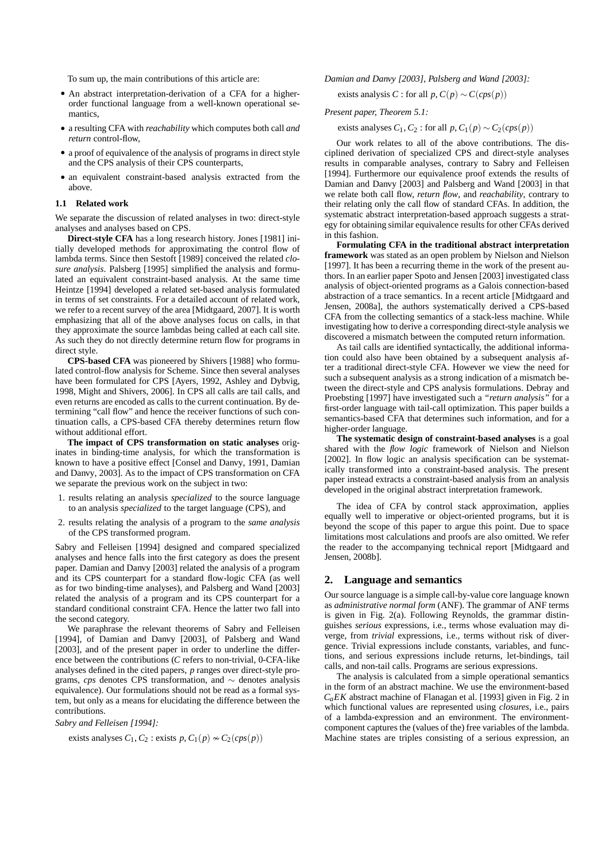To sum up, the main contributions of this article are:

- An abstract interpretation-derivation of a CFA for a higherorder functional language from a well-known operational semantics,
- a resulting CFA with *reachability* which computes both call *and return* control-flow,
- a proof of equivalence of the analysis of programs in direct style and the CPS analysis of their CPS counterparts,
- an equivalent constraint-based analysis extracted from the above.

## **1.1 Related work**

We separate the discussion of related analyses in two: direct-style analyses and analyses based on CPS.

**Direct-style CFA** has a long research history. Jones [1981] initially developed methods for approximating the control flow of lambda terms. Since then Sestoft [1989] conceived the related *closure analysis*. Palsberg [1995] simplified the analysis and formulated an equivalent constraint-based analysis. At the same time Heintze [1994] developed a related set-based analysis formulated in terms of set constraints. For a detailed account of related work, we refer to a recent survey of the area [Midtgaard, 2007]. It is worth emphasizing that all of the above analyses focus on calls, in that they approximate the source lambdas being called at each call site. As such they do not directly determine return flow for programs in direct style.

**CPS-based CFA** was pioneered by Shivers [1988] who formulated control-flow analysis for Scheme. Since then several analyses have been formulated for CPS [Ayers, 1992, Ashley and Dybvig, 1998, Might and Shivers, 2006]. In CPS all calls are tail calls, and even returns are encoded as calls to the current continuation. By determining "call flow" and hence the receiver functions of such continuation calls, a CPS-based CFA thereby determines return flow without additional effort.

**The impact of CPS transformation on static analyses** originates in binding-time analysis, for which the transformation is known to have a positive effect [Consel and Danvy, 1991, Damian and Danvy, 2003]. As to the impact of CPS transformation on CFA we separate the previous work on the subject in two:

- 1. results relating an analysis *specialized* to the source language to an analysis *specialized* to the target language (CPS), and
- 2. results relating the analysis of a program to the *same analysis* of the CPS transformed program.

Sabry and Felleisen [1994] designed and compared specialized analyses and hence falls into the first category as does the present paper. Damian and Danvy [2003] related the analysis of a program and its CPS counterpart for a standard flow-logic CFA (as well as for two binding-time analyses), and Palsberg and Wand [2003] related the analysis of a program and its CPS counterpart for a standard conditional constraint CFA. Hence the latter two fall into the second category.

We paraphrase the relevant theorems of Sabry and Felleisen [1994], of Damian and Danvy [2003], of Palsberg and Wand [2003], and of the present paper in order to underline the difference between the contributions (*C* refers to non-trivial, 0-CFA-like analyses defined in the cited papers, *p* ranges over direct-style programs, *cps* denotes CPS transformation, and ∼ denotes analysis equivalence). Our formulations should not be read as a formal system, but only as a means for elucidating the difference between the contributions.

*Sabry and Felleisen [1994]:*

exists analyses  $C_1$ ,  $C_2$ : exists  $p$ ,  $C_1(p) \approx C_2(cps(p))$ 

*Damian and Danvy [2003], Palsberg and Wand [2003]:*

exists analysis *C* : for all  $p$ ,  $C(p) \sim C(cps(p))$ 

*Present paper, Theorem 5.1:*

exists analyses *C*<sub>1</sub>, *C*<sub>2</sub> : for all *p*,  $C_1(p) \sim C_2(cps(p))$ 

Our work relates to all of the above contributions. The disciplined derivation of specialized CPS and direct-style analyses results in comparable analyses, contrary to Sabry and Felleisen [1994]. Furthermore our equivalence proof extends the results of Damian and Danvy [2003] and Palsberg and Wand [2003] in that we relate both call flow, *return flow*, and *reachability*, contrary to their relating only the call flow of standard CFAs. In addition, the systematic abstract interpretation-based approach suggests a strategy for obtaining similar equivalence results for other CFAs derived in this fashion.

**Formulating CFA in the traditional abstract interpretation framework** was stated as an open problem by Nielson and Nielson [1997]. It has been a recurring theme in the work of the present authors. In an earlier paper Spoto and Jensen [2003] investigated class analysis of object-oriented programs as a Galois connection-based abstraction of a trace semantics. In a recent article [Midtgaard and Jensen, 2008a], the authors systematically derived a CPS-based CFA from the collecting semantics of a stack-less machine. While investigating how to derive a corresponding direct-style analysis we discovered a mismatch between the computed return information.

As tail calls are identified syntactically, the additional information could also have been obtained by a subsequent analysis after a traditional direct-style CFA. However we view the need for such a subsequent analysis as a strong indication of a mismatch between the direct-style and CPS analysis formulations. Debray and Proebsting [1997] have investigated such a *"return analysis"* for a first-order language with tail-call optimization. This paper builds a semantics-based CFA that determines such information, and for a higher-order language.

**The systematic design of constraint-based analyses** is a goal shared with the *flow logic* framework of Nielson and Nielson [2002]. In flow logic an analysis specification can be systematically transformed into a constraint-based analysis. The present paper instead extracts a constraint-based analysis from an analysis developed in the original abstract interpretation framework.

The idea of CFA by control stack approximation, applies equally well to imperative or object-oriented programs, but it is beyond the scope of this paper to argue this point. Due to space limitations most calculations and proofs are also omitted. We refer the reader to the accompanying technical report [Midtgaard and Jensen, 2008b].

## **2. Language and semantics**

Our source language is a simple call-by-value core language known as *administrative normal form* (ANF). The grammar of ANF terms is given in Fig. 2(a). Following Reynolds, the grammar distinguishes *serious* expressions, i.e., terms whose evaluation may diverge, from *trivial* expressions, i.e., terms without risk of divergence. Trivial expressions include constants, variables, and functions, and serious expressions include returns, let-bindings, tail calls, and non-tail calls. Programs are serious expressions.

The analysis is calculated from a simple operational semantics in the form of an abstract machine. We use the environment-based *CaEK* abstract machine of Flanagan et al. [1993] given in Fig. 2 in which functional values are represented using *closures*, i.e., pairs of a lambda-expression and an environment. The environmentcomponent captures the (values of the) free variables of the lambda. Machine states are triples consisting of a serious expression, an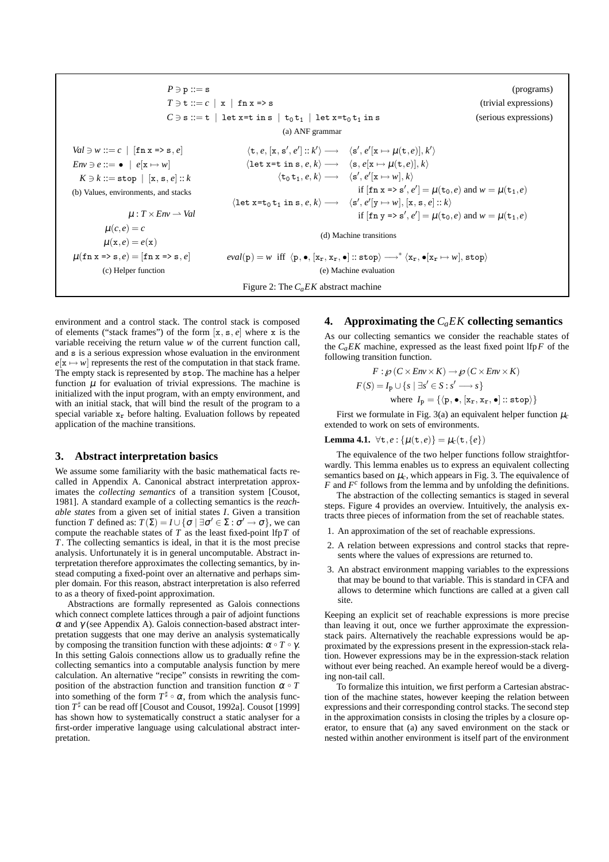$$
P \ni p ::= s
$$
 (programming  
\n $T \ni t ::= c | x | f n x => s$  (trivial expressions)  
\n $C \ni s ::= t | let x = t in s | t_0 t_1 | let x = t_0 t_1 in s$  (seriesions)  
\n(a) ANF grammar  
\n $Val \ni w ::= c | [fn x => s, e]$   $\langle t, e, [x, s', e'] :: k' \rangle \rightarrow \langle s', e'[x \mapsto \mu(t, e)], k' \rangle$   
\n $Env \ni e := \bullet | e[x \mapsto w]$   $\langle let x = t in s, e, k \rangle \rightarrow \langle s', e'[x \mapsto \mu(t, e)], k \rangle$   
\n $K \ni k ::= stop | [x, s, e] :: k$   $\langle t_0 t_1, e, k \rangle \rightarrow \langle s', e'[x \mapsto \mu(t, e)], k \rangle$   
\n(b) Values, environments, and stacks  
\n $\mu : T \times Env \rightarrow Val$   $\langle let x = t_0 t_1 in s, e, k \rangle \rightarrow \langle s', e'[y \mapsto w], [x, s, e] :: k \rangle$   
\n $\mu(x, e) = c$   $\mu(x, e) = e(x)$   
\n $\mu(x, e) = e(x)$   $\mu(x, e) = e(x)$   
\n(d) Machine transitions  
\n(e) Machine evaluation  
\n(e) Machine evaluation  
\n(e) Machine evaluation  
\n(e) Machine evaluation

environment and a control stack. The control stack is composed of elements ("stack frames") of the form [x, s, *e*] where x is the variable receiving the return value *w* of the current function call, and s is a serious expression whose evaluation in the environment  $e[x \mapsto w]$  represents the rest of the computation in that stack frame. The empty stack is represented by stop. The machine has a helper function  $\mu$  for evaluation of trivial expressions. The machine is initialized with the input program, with an empty environment, and with an initial stack, that will bind the result of the program to a special variable  $x_r$  before halting. Evaluation follows by repeated application of the machine transitions.

### **3. Abstract interpretation basics**

We assume some familiarity with the basic mathematical facts recalled in Appendix A. Canonical abstract interpretation approximates the *collecting semantics* of a transition system [Cousot, 1981]. A standard example of a collecting semantics is the *reachable states* from a given set of initial states *I*. Given a transition function *T* defined as:  $T(\Sigma) = I \cup {\sigma \mid \exists \sigma' \in \Sigma : \sigma' \rightarrow \sigma },$  we can compute the reachable states of  $T$  as the least fixed-point lfp  $T$  of *T*. The collecting semantics is ideal, in that it is the most precise analysis. Unfortunately it is in general uncomputable. Abstract interpretation therefore approximates the collecting semantics, by instead computing a fixed-point over an alternative and perhaps simpler domain. For this reason, abstract interpretation is also referred to as a theory of fixed-point approximation.

Abstractions are formally represented as Galois connections which connect complete lattices through a pair of adjoint functions <sup>α</sup> and γ (see Appendix A). Galois connection-based abstract interpretation suggests that one may derive an analysis systematically by composing the transition function with these adjoints:  $\alpha \circ T \circ \gamma$ . In this setting Galois connections allow us to gradually refine the collecting semantics into a computable analysis function by mere calculation. An alternative "recipe" consists in rewriting the composition of the abstraction function and transition function  $\alpha \circ T$ into something of the form  $T^{\sharp} \circ \alpha$ , from which the analysis function *T* ♯ can be read off [Cousot and Cousot, 1992a]. Cousot [1999] has shown how to systematically construct a static analyser for a first-order imperative language using calculational abstract interpretation.

# **4. Approximating the** *CaEK* **collecting semantics**

As our collecting semantics we consider the reachable states of the  $C_a E K$  machine, expressed as the least fixed point lfp $F$  of the following transition function.

$$
F: \mathcal{G}(C \times Env \times K) \to \mathcal{G}(C \times Env \times K)
$$
  

$$
F(S) = I_p \cup \{s \mid \exists s' \in S : s' \longrightarrow s\}
$$
  
where  $I_p = \{\langle p, \bullet, [x_r, x_r, \bullet] : : \text{stop}\rangle\}$ 

First we formulate in Fig. 3(a) an equivalent helper function  $\mu_c$ extended to work on sets of environments.

# **Lemma 4.1.** ∀t,  $e$  : { $\mu$ (t,  $e$ )} =  $\mu$ <sup>*c*</sup>(t, {*e*})

The equivalence of the two helper functions follow straightforwardly. This lemma enables us to express an equivalent collecting semantics based on  $\mu_c$ , which appears in Fig. 3. The equivalence of *F* and *F c* follows from the lemma and by unfolding the definitions.

The abstraction of the collecting semantics is staged in several steps. Figure 4 provides an overview. Intuitively, the analysis extracts three pieces of information from the set of reachable states.

- 1. An approximation of the set of reachable expressions.
- 2. A relation between expressions and control stacks that represents where the values of expressions are returned to.
- 3. An abstract environment mapping variables to the expressions that may be bound to that variable. This is standard in CFA and allows to determine which functions are called at a given call site.

Keeping an explicit set of reachable expressions is more precise than leaving it out, once we further approximate the expressionstack pairs. Alternatively the reachable expressions would be approximated by the expressions present in the expression-stack relation. However expressions may be in the expression-stack relation without ever being reached. An example hereof would be a diverging non-tail call.

To formalize this intuition, we first perform a Cartesian abstraction of the machine states, however keeping the relation between expressions and their corresponding control stacks. The second step in the approximation consists in closing the triples by a closure operator, to ensure that (a) any saved environment on the stack or nested within another environment is itself part of the environment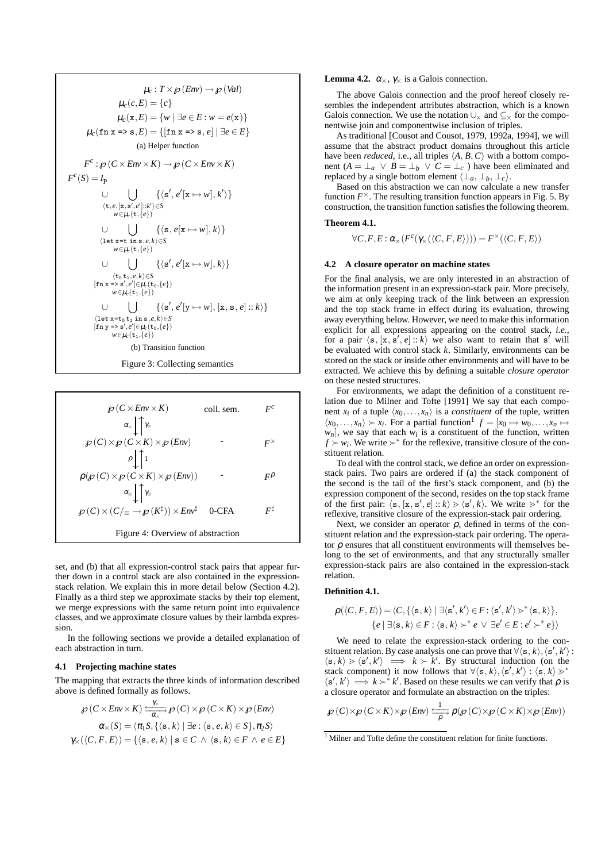$$
\mu_c : T \times \mathcal{G}(Env) \rightarrow \mathcal{G}(Val)
$$
\n
$$
\mu_c(c, E) = \{c\}
$$
\n
$$
\mu_c(x, E) = \{w \mid \exists e \in E : w = e(x)\}
$$
\n
$$
\mu_c(\text{fn } x = > \text{s}, E) = \{[\text{fn } x = > \text{s}, e] \mid \exists e \in E\}
$$
\n(a) Heiper function\n
$$
F^c : \mathcal{G}(C \times Env \times K) \rightarrow \mathcal{G}(C \times Env \times K)
$$
\n
$$
F^c(S) = I_p
$$
\n
$$
\cup \bigcup_{w \in \mu_c(\text{t}, \{e\})} \{\langle \text{s}', e'[\text{x} \mapsto w], k' \rangle\}
$$
\n
$$
\langle \text{t}, e, [\text{x}, \text{s}', e'], k' \rangle \in S
$$
\n
$$
\forall e \in \mu_c(\text{t}, \{e\})
$$
\n
$$
\cup \bigcup_{w \in \mu_c(\text{t}, \{e\})} \{\langle \text{s}', e'[\text{x} \mapsto w], k \rangle\}
$$
\n
$$
\langle \text{let } x = \text{t} \text{ in } s, e, k \rangle \in S
$$
\n
$$
[\text{fn } x = > s', e'] \in \mu_c(\text{t}, \{e\})
$$
\n
$$
\cup \bigcup_{w \in \mu_c(\text{t}, \{e\})} \{\langle \text{s}', e'[\text{y} \mapsto w], [\text{x}, \text{s}, e] : : k \rangle\}
$$
\n
$$
\langle \text{let } x = \text{t}_0 \text{ t}_1 \text{ in } s, e, k \rangle \in S
$$
\n
$$
[\text{fn } y = > s', e'] \in \mu_c(\text{t}_0, \{e\})
$$
\n
$$
\text{if } y = s', e'] \in \mu_c(\text{t}_0, \{e\})
$$
\n(b) Transition function\nFigure 3: Collecting semantics

 $\wp(C \times E_{\text{TV}} \times K)$  $\alpha_{\times}$  $\wp(C) \times \wp(C \times K) \times \wp(Env)$ coll. sem.  $F<sup>c</sup>$  $\gamma_{\times}$ ρ  $\downarrow$  1<br> $\rho(\wp(C) \times \wp(C \times K) \times \wp(Env))$ - *F*  $F^{\times}$ 1  $\alpha_\otimes \mid \uparrow_\gamma$  $\mathsf{L}$ - *F*  $F^{\beta}$  $\mathscr{G}(C)\times (C/{\equiv}\rightarrow \mathscr{G}(K^\sharp))\times E n v^\sharp$ 0-CFA *F* ♯ Figure 4: Overview of abstraction

set, and (b) that all expression-control stack pairs that appear further down in a control stack are also contained in the expressionstack relation. We explain this in more detail below (Section 4.2). Finally as a third step we approximate stacks by their top element, we merge expressions with the same return point into equivalence classes, and we approximate closure values by their lambda expression.

In the following sections we provide a detailed explanation of each abstraction in turn.

## **4.1 Projecting machine states**

The mapping that extracts the three kinds of information described above is defined formally as follows.

$$
\wp(C \times Env \times K) \xrightarrow{\gamma_{\times}} \wp(C) \times \wp(C \times K) \times \wp(Env)
$$
  

$$
\alpha_{\times}(S) = \langle \pi_1 S, \{ \langle \mathbf{s}, k \rangle \mid \exists e : \langle \mathbf{s}, e, k \rangle \in S \}, \pi_2 S \rangle
$$
  

$$
\gamma_{\times}(\langle C, F, E \rangle) = \{ \langle \mathbf{s}, e, k \rangle \mid \mathbf{s} \in C \land \langle \mathbf{s}, k \rangle \in F \land e \in E \}
$$

#### **Lemma 4.2.**  $\alpha_{\times}, \gamma_{\times}$  is a Galois connection.

The above Galois connection and the proof hereof closely resembles the independent attributes abstraction, which is a known Galois connection. We use the notation  $\cup_{\times}$  and  $\subseteq_{\times}$  for the componentwise join and componentwise inclusion of triples.

As traditional [Cousot and Cousot, 1979, 1992a, 1994], we will assume that the abstract product domains throughout this article have been *reduced*, i.e., all triples  $\langle A, B, C \rangle$  with a bottom component ( $A = \perp_a \vee B = \perp_b \vee C = \perp_c$ ) have been eliminated and replaced by a single bottom element  $\langle \perp_a, \perp_b, \perp_c \rangle$ .

Based on this abstraction we can now calculate a new transfer function  $F^{\times}$ . The resulting transition function appears in Fig. 5. By construction, the transition function satisfies the following theorem.

## **Theorem 4.1.**

$$
\forall C, F, E: \alpha_{\times}(F^c(\gamma_{\times}(\langle C, F, E \rangle))) = F^{\times}(\langle C, F, E \rangle)
$$

#### **4.2 A closure operator on machine states**

For the final analysis, we are only interested in an abstraction of the information present in an expression-stack pair. More precisely, we aim at only keeping track of the link between an expression and the top stack frame in effect during its evaluation, throwing away everything below. However, we need to make this information explicit for all expressions appearing on the control stack, *i.e.*, for a pair  $\langle s, [x, s', e] :: k \rangle$  we also want to retain that s' will be evaluated with control stack *k*. Similarly, environments can be stored on the stack or inside other environments and will have to be extracted. We achieve this by defining a suitable *closure operator* on these nested structures.

For environments, we adapt the definition of a constituent relation due to Milner and Tofte [1991] We say that each component  $x_i$  of a tuple  $\langle x_0, \ldots, x_n \rangle$  is a *constituent* of the tuple, written  $\langle x_0, \ldots, x_n \rangle \succ x_i$ . For a partial function<sup>1</sup>  $f = [x_0 \mapsto w_0, \ldots, x_n \mapsto$  $w_n$ , we say that each  $w_i$  is a constituent of the function, written *f* ≻  $w_i$ . We write ≻<sup>\*</sup> for the reflexive, transitive closure of the constituent relation.

To deal with the control stack, we define an order on expressionstack pairs. Two pairs are ordered if (a) the stack component of the second is the tail of the first's stack component, and (b) the expression component of the second, resides on the top stack frame of the first pair:  $\langle s, [x, s', e] : k \rangle \ge \langle s', k \rangle$ . We write  $\ge^*$  for the reflexive, transitive closure of the expression-stack pair ordering.

Next, we consider an operator  $\rho$ , defined in terms of the constituent relation and the expression-stack pair ordering. The operator  $\rho$  ensures that all constituent environments will themselves belong to the set of environments, and that any structurally smaller expression-stack pairs are also contained in the expression-stack relation.

#### **Definition 4.1.**

$$
\begin{aligned} \rho(\langle C, F, E \rangle) = \langle C, \{ \langle \mathbf{s}, k \rangle \mid \exists \langle \mathbf{s}', k' \rangle \in F: \langle \mathbf{s}', k' \rangle \!>^* \langle \mathbf{s}, k \rangle \}, \\ \{ e \mid \exists \langle \mathbf{s}, k \rangle \in F: \langle \mathbf{s}, k \rangle \!>^* \, e \, \lor \, \exists e' \in E: e' \!>^* \, e \} \rangle \end{aligned}
$$

We need to relate the expression-stack ordering to the constituent relation. By case analysis one can prove that  $\forall \langle s, k \rangle, \langle s', k' \rangle$ :  $\langle s, k \rangle \ge \langle s', k' \rangle \implies k \succ k'$ . By structural induction (on the stack component) it now follows that  $\forall \langle s, k \rangle, \langle s', k' \rangle : \langle s, k \rangle \rangle^*$  $\langle s', k' \rangle \implies k \succ^* k'$ . Based on these results we can verify that  $\rho$  is a closure operator and formulate an abstraction on the triples:

$$
\mathcal{G}(C)\times\mathcal{G}(C\times K)\times\mathcal{G}(Env)\xrightarrow[\rho]{1}\rho\left(\mathcal{G}(C)\times\mathcal{G}(C\times K)\times\mathcal{G}(Env)\right)
$$

<sup>&</sup>lt;sup>1</sup> Milner and Tofte define the constituent relation for finite functions.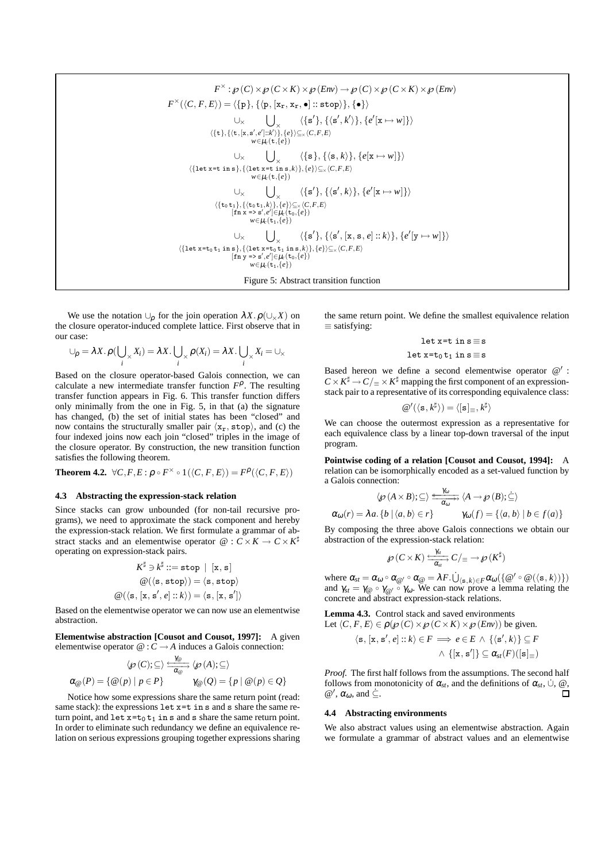$F^{\times}$ :  $\mathcal{O}(C) \times \mathcal{O}(C \times K) \times \mathcal{O}(Env) \rightarrow \mathcal{O}(C) \times \mathcal{O}(C \times K) \times \mathcal{O}(Env)$  $F^{\times}(\langle C, F, E \rangle) = \langle \{\mathbf{p}\}, \{\langle \mathbf{p}, [\mathbf{x_r}, \mathbf{x_r}, \bullet] : : \mathbf{stop} \rangle\}, \{\bullet\} \rangle$  $\bigcup_{\substack{\text{$\langle \{\mathbf{t}\},\{\langle \mathbf{t},[\mathbf{x},\mathbf{s}',e']:\mathcal{X}\rangle\},\{e\}\} \subseteq \times \\ \langle \{\mathbf{t}\},\{\langle \mathbf{t},[\mathbf{x},\mathbf{s}',e']:\mathcal{X}\rangle\},\{e\}\rangle \subseteq \times \langle C,F,E\rangle}$  $\langle \{ \mathbf{s}' \}, \{ \langle \mathbf{s}', k' \rangle \}, \{ e'[\mathbf{x} \mapsto w] \} \rangle$  $\cup_{\times}$  $\bigcup_{\times} \quad \langle \{\mathbf{s}\}, \{\langle \mathbf{s}, k \rangle\}, \{e[\mathbf{x} \mapsto w]\}\rangle$  $\langle \{\texttt{let x=t in s}}\rangle, \allowbreak \{\langle \texttt{let x=t in s},\allowbreak k \rangle\}, \allowbreak \{e\} \rangle \subseteq_{\times} \langle C, F, E \rangle\nonumber \ \textcolor{red}{w \in \mu_c(\texttt{t},\{e\})}$  $\cup_{x}$  $U_{\rm x}$  $\langle {\mathbf{t}_0 \mathbf{t}_1}, {\mathbf{t}_0 \mathbf{t}_1, k \rangle}, {\mathbf{e}} \rangle \subseteq {\langle C, F, E \rangle}$ <br>
[fn x => s', e'] $\in \mu_c({\mathbf{t}_0},{\mathbf{e}})$  $w \in \mu_c(\mathbf{t}_1, \{e\})$  $\langle \{ \mathbf{s}' \}, \{ \langle \mathbf{s}', k \rangle \}, \{ e'[\mathbf{x} \mapsto w] \} \rangle$ ∪× [ × h{let x=t<sup>0</sup> t<sup>1</sup> in s},{hlet x=t<sup>0</sup> t<sup>1</sup> in s,*k*i},{*e*}i⊆×h*C*,*F*,*E*i [fn y => s′ ,*e* ′ ]∈µ*c*(t0,{*e*}) *w*∈µ*c*(t1,{*e*})  $\langle \{ \mathbf{s}' \}, \{ \langle \mathbf{s}', [x, \mathbf{s}, e] : k \rangle \}, \{ e' [y \mapsto w] \} \rangle$ Figure 5: Abstract transition function

We use the notation  $\cup_{\rho}$  for the join operation  $\lambda X. \rho(\cup_{X} X)$  on the closure operator-induced complete lattice. First observe that in our case:

$$
\cup_{\rho} = \lambda X. \rho\left(\bigcup_{i} X_{i}\right) = \lambda X. \bigcup_{i} \rho(X_{i}) = \lambda X. \bigcup_{i} X_{i} = \cup_{x}
$$

Based on the closure operator-based Galois connection, we can calculate a new intermediate transfer function  $F^{\rho}$ . The resulting transfer function appears in Fig. 6. This transfer function differs only minimally from the one in Fig. 5, in that (a) the signature has changed, (b) the set of initial states has been "closed" and now contains the structurally smaller pair  $\langle x_r, \text{stop} \rangle$ , and (c) the four indexed joins now each join "closed" triples in the image of the closure operator. By construction, the new transition function satisfies the following theorem.

**Theorem 4.2.** 
$$
\forall C, F, E : \rho \circ F^\times \circ 1(\langle C, F, E \rangle) = F^\rho(\langle C, F, E \rangle)
$$

#### **4.3 Abstracting the expression-stack relation**

Since stacks can grow unbounded (for non-tail recursive programs), we need to approximate the stack component and hereby the expression-stack relation. We first formulate a grammar of abstract stacks and an elementwise operator  $@: C \times K \to C \times K^{\sharp}$ operating on expression-stack pairs.

$$
K^{\sharp} \ni k^{\sharp}::=\texttt{stop} \mid [\text{x}, \text{s}]
$$

$$
\textcircled{s}(\langle \texttt{s}, \texttt{stop} \rangle) = \langle \texttt{s}, \texttt{stop} \rangle
$$

$$
\textcircled{s}(\langle \texttt{s}, [\text{x}, \texttt{s}', e] :: k \rangle) = \langle \texttt{s}, [\text{x}, \texttt{s}'] \rangle
$$

Based on the elementwise operator we can now use an elementwise abstraction.

**Elementwise abstraction [Cousot and Cousot, 1997]:** A given elementwise operator  $@: C \rightarrow A$  induces a Galois connection:  $\sim$ 

$$
\langle \wp(C); \subseteq \rangle \xrightarrow{\frac{I^{\omega}}{\alpha_{\mathscr{C}}}} \langle \wp(A); \subseteq \rangle
$$
  

$$
\alpha_{\mathscr{C}}(P) = \{ \mathscr{C}(p) \mid p \in P \} \qquad \gamma_{\mathscr{C}}(Q) = \{ p \mid \mathscr{C}(p) \in Q \}
$$

Notice how some expressions share the same return point (read: same stack): the expressions let  $x=t$  in s and s share the same return point, and let  $x=t_0 t_1$  in s and s share the same return point. In order to eliminate such redundancy we define an equivalence relation on serious expressions grouping together expressions sharing the same return point. We define the smallest equivalence relation  $\equiv$  satisfying:

$$
\begin{array}{c} \texttt{let}\ \texttt{x=t}\ \texttt{in}\ \texttt{s} \equiv \texttt{s}\\ \texttt{let}\ \texttt{x=t}_0\ \texttt{t}_1\ \texttt{in}\ \texttt{s} \equiv \texttt{s} \end{array}
$$

Based hereon we define a second elementwise operator @′ :  $C \times K^{\sharp} \to C/_{\equiv} \times K^{\sharp}$  mapping the first component of an expressionstack pair to a representative of its corresponding equivalence class:

$$
\text{Q}'(\langle \mathbf{s}, k^{\sharp} \rangle) = \langle [\mathbf{s}]_{\equiv}, k^{\sharp} \rangle
$$

We can choose the outermost expression as a representative for each equivalence class by a linear top-down traversal of the input program.

**Pointwise coding of a relation [Cousot and Cousot, 1994]:** A relation can be isomorphically encoded as a set-valued function by a Galois connection:

$$
\langle \wp(A \times B) ; \subseteq \rangle \xrightarrow{\frac{\gamma_{\omega}}{\alpha_{\omega}}} \langle A \to \wp(B) ; \subseteq \rangle
$$
  

$$
\alpha_{\omega}(r) = \lambda a. \{b \mid \langle a, b \rangle \in r\} \qquad \gamma_{\omega}(f) = \{ \langle a, b \rangle \mid b \in f(a) \}
$$

By composing the three above Galois connections we obtain our abstraction of the expression-stack relation:

$$
\text{SO}(C\times K)\xrightarrow[\alpha_{\text{st}}]{{\gamma_{\text{st}}}\over{\alpha_{\text{st}}}} \text{C}/_{\equiv}\longrightarrow \text{SO}(K^{\sharp})
$$

where  $\alpha_{st} = \alpha_{\omega} \circ \alpha_{\omega'} \circ \alpha_{\omega} = \lambda F. \dot\bigcup_{\langle \mathbf{s}, k \rangle \in F} \alpha_{\omega} (\{\omega' \circ \omega(\langle \mathbf{s}, k \rangle) \})$ and  $\gamma_{st} = \gamma_{\omega} \circ \gamma_{\omega'} \circ \gamma_{\omega}$ . We can now prove a lemma relating the concrete and abstract expression-stack relations.

**Lemma 4.3.** Control stack and saved environments Let  $\langle C, F, E \rangle \in \rho(\wp(C) \times \wp(C \times K) \times \wp(Env))$  be given.  $\langle \mathbf{s}, [\mathbf{x}, \mathbf{s}', e] : k \rangle \in F \implies e \in E \land \{ \langle \mathbf{s}', k \rangle \} \subseteq F$ 

$$
\wedge \{[\mathbf{x}, \mathbf{s}']\} \subseteq \alpha_{st}(F)([\mathbf{s}]_{\equiv})
$$

*Proof.* The first half follows from the assumptions. The second half follows from monotonicity of  $\alpha_{st}$ , and the definitions of  $\alpha_{st}$ ,  $\cup$ ,  $\emptyset$ ,  $\alpha_0$ , and  $\subset$ .  $\omega'$ ,  $\alpha_{\omega}$ , and  $\subseteq$ .

#### **4.4 Abstracting environments**

We also abstract values using an elementwise abstraction. Again we formulate a grammar of abstract values and an elementwise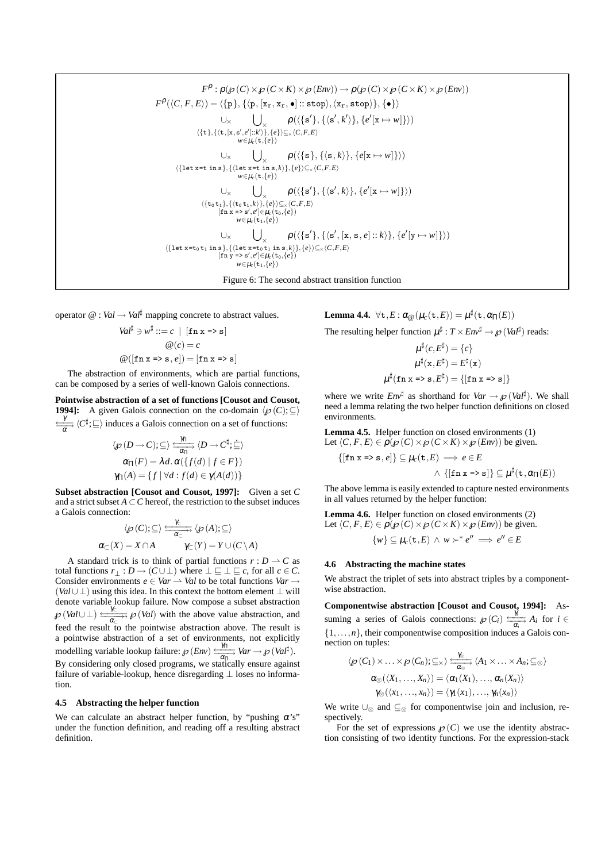$F^{\rho}: \rho(\wp(C) \times \wp(C \times K) \times \wp(Env)) \rightarrow \rho(\wp(C) \times \wp(C \times K) \times \wp(Env))$  $F^\mathcal{P}(\langle C, F, E \rangle) = \langle \{\mathtt{p}\}, \{\langle \mathtt{p}, [\mathtt{x}_\mathtt{r}, \mathtt{x}_\mathtt{r}, \bullet] : : \mathtt{stop} \rangle, \langle \mathtt{x}_\mathtt{r}, \mathtt{stop} \rangle\}, \{\bullet\} \rangle$  $\bigcup_{\chi} \bigcup_{\chi \in \{ \mathbf{t} \}, \{ \langle \mathbf{t}, [ \mathbf{x}, \mathbf{s}', e' ] : : k' \rangle \}, \{ e \} \rangle \subseteq_{\chi} \langle C, F, E \rangle}$  $w \in \mu_c(\mathbf{t}, \{e\})$  $\rho(\langle \{ \mathbf{s}' \}, \{ \langle \mathbf{s}', \mathbf{k}' \rangle \}, \{ e'[\mathbf{x} \mapsto w] \} \rangle)$  $\bigcup_{\mathsf{x}} \bigcup_{\substack{\mathsf{x}\in \mathsf{X} \setminus \{1\text{et } \mathsf{x}=\mathsf{t} \text{ in } \mathsf{s},k\},\{e\}\subseteq \mathsf{x}}}\rho(\{\{\mathsf{s}\},\{\langle \mathsf{s},\mathsf{l}\rangle\},\mathsf{t}\})\|_2\|_2\|\mathsf{x},\mathsf{t},\mathsf{t}\|_2\|\mathsf{x},\mathsf{t}\|_2\|\mathsf{x},\mathsf{t}\|_2\|\mathsf{x},\mathsf{t}\|_2\|\mathsf{x},\mathsf{t}\|_2\|\mathsf{x},\mathsf{t}\|_2\|\mathsf{x},\mathsf$  $\rho(\langle \{ \mathbf{s} \}, \{ \langle \mathbf{s}, k \rangle \}, \{ e[\mathbf{x} \mapsto w] \} \rangle)$  $\bigcup_{X}$  $\bigcup_{\infty}$  $\langle {\mathbf{t}_0 \mathbf{t}_1 }, {\mathbf{t}_0 \mathbf{t}_1, k} \rangle, \{ \mathbf{e} \} \rangle \subseteq \langle C, F, E \rangle$ <br>  $[\texttt{fn x =& s', e'] \in \mu_c(\mathbf{t}_0, \{e\})}$  $w \in \mu_c(\mathbf{t}_1, \{e\})$  $\rho(\langle \{ \mathbf{s}' \}, \{ \langle \mathbf{s}', k \rangle \}, \{ e' | \mathbf{x} \mapsto w \} \rangle)$  $\bigcup_{\mathsf{x}} \bigcup_{\mathsf{x}} \rho({\{\mathsf{S}',\{\mathsf{x}',[\mathsf{x}\}\}, \{\mathsf{S}',[\mathsf{x}\}, \mathsf{S}', \mathsf{S}', \mathsf{S}', \mathsf{S}', \mathsf{S}', \mathsf{S}', \mathsf{S}', \mathsf{S}', \mathsf{S}', \mathsf{S}', \mathsf{S}', \mathsf{S}', \mathsf{S}', \mathsf{S}', \mathsf{S}', \mathsf{S}', \mathsf{S}', \mathsf{S}', \mathsf{S}', \mathsf{S}', \mathsf{S}', \mathsf{S}', \mathsf{S}', \mathsf{S}', \mathsf{S}', \mathsf{S}', \mathsf{S}', \mathsf{$  $w \in \mu_c(\mathbf{t}_1,\{e\})$  $\rho(\langle \{ \texttt{s}' \}, \{ \langle \texttt{s}' \rangle$  $, [x, s, e] :: k \rangle, \{e'[y \mapsto w] \} \rangle$ 

Figure 6: The second abstract transition function

operator  $\mathcal{Q}: \mathit{Val} \to \mathit{Val}^{\sharp}$  mapping concrete to abstract values.

$$
Val^{\sharp} \ni w^{\sharp} ::= c \mid [\text{fn } x \Rightarrow s]
$$

$$
\textcircled{e}(c) = c
$$

$$
\textcircled{e}([\text{fn } x \Rightarrow s, e]) = [\text{fn } x \Rightarrow s]
$$

The abstraction of environments, which are partial functions, can be composed by a series of well-known Galois connections.

**Pointwise abstraction of a set of functions [Cousot and Cousot, 1994]:** A given Galois connection on the co-domain  $\langle \mathcal{P}(C); \subseteq \rangle$  $\frac{1}{\alpha}$  $\frac{\gamma}{\gamma}$   $\langle C^{\sharp}; \subseteq \rangle$  induces a Galois connection on a set of functions:

$$
\langle \wp(D \to C); \subseteq \rangle \xrightarrow{\frac{\gamma_{\text{f}}}{\alpha_{\text{f}}}} \langle D \to C^{\sharp}; \subseteq \rangle
$$
  

$$
\alpha_{\text{f}}(F) = \lambda d. \alpha (\lbrace f(d) \mid f \in F \rbrace)
$$
  

$$
\gamma_{\text{f}}(A) = \lbrace f \mid \forall d : f(d) \in \gamma(A(d)) \rbrace
$$

**Subset abstraction [Cousot and Cousot, 1997]:** Given a set *C* and a strict subset  $A \subset C$  hereof, the restriction to the subset induces a Galois connection:

$$
\langle \wp(C); \subseteq \rangle \xrightarrow{\gamma_C} \langle \wp(A); \subseteq \rangle
$$
  

$$
\alpha_C(X) = X \cap A \qquad \gamma_C(Y) = Y \cup (C \setminus A)
$$

A standard trick is to think of partial functions  $r : D \to C$  as total functions  $r_{\perp}: D \to (C \cup \perp)$  where  $\perp \sqsubseteq \perp \sqsubseteq c$ , for all  $c \in C$ . Consider environments  $e \in Var \to Val$  to be total functions  $Var \to$ (*Val*∪ ⊥) using this idea. In this context the bottom element ⊥ will denote variable lookup failure. Now compose a subset abstraction  $\mathscr{B}(Val \cup \bot) \xrightarrow{\gamma_C} \mathscr{B}(Val)$  with the above value abstraction, and feed the result to the pointwise abstraction above. The result is a pointwise abstraction of a set of environments, not explicitly modelling variable lookup failure:  $\mathcal{P}(Env) \xrightarrow{\text{max}}$  $\frac{\gamma_{\Pi}}{\gamma_{\Pi}}$  *Var*  $\rightarrow \mathscr{O}(Val^{\sharp}).$ By considering only closed programs, we statically ensure against failure of variable-lookup, hence disregarding ⊥ loses no information.

#### **4.5 Abstracting the helper function**

We can calculate an abstract helper function, by "pushing  $\alpha$ 's" under the function definition, and reading off a resulting abstract definition.

**Lemma 4.4.**  $\forall$ **t**, $E : \alpha_{\mathcal{Q}}(\mu_c(\mathbf{t}, E)) = \mu^{\sharp}(\mathbf{t}, \alpha_{\Pi}(E))$ The resulting helper function  $\mu^{\sharp}: T \times Env^{\sharp} \rightarrow \mathcal{O}(Val^{\sharp})$  reads:

$$
\mu^{\sharp}(c, E^{\sharp}) = \{c\}
$$

$$
\mu^{\sharp}(\mathbf{x}, E^{\sharp}) = E^{\sharp}(\mathbf{x})
$$

$$
\mu^{\sharp}(\mathbf{fn} \mathbf{x} \implies \mathbf{s}, E^{\sharp}) = \{[\mathbf{fn} \mathbf{x} \implies \mathbf{s}]\}
$$

where we write  $Env^{\sharp}$  as shorthand for  $Var \rightarrow \mathcal{O}(Val^{\sharp})$ . We shall need a lemma relating the two helper function definitions on closed environments.

**Lemma 4.5.** Helper function on closed environments (1) Let  $\langle C, F, E \rangle \in \rho(\wp(C) \times \wp(C \times K) \times \wp(Env))$  be given.

$$
\{[\texttt{fn} \ x => \mathbf{s}, e]\} \subseteq \mu_c(\mathbf{t}, E) \implies e \in E
$$

$$
\wedge \{[\texttt{fn} \ x => \mathbf{s}]\} \subseteq \mu^{\sharp}(\mathbf{t}, \alpha_{\Pi}(E))
$$

The above lemma is easily extended to capture nested environments in all values returned by the helper function:

**Lemma 4.6.** Helper function on closed environments (2) Let  $\langle C, F, E \rangle \in \rho(\wp(C) \times \wp(C \times K) \times \wp(Env))$  be given.  $\{w\} \subseteq \mu_c(\mathbf{t}, E) \land w \succ^* e'' \implies e'' \in E$ 

#### **4.6 Abstracting the machine states**

µ

We abstract the triplet of sets into abstract triples by a componentwise abstraction.

**Componentwise abstraction [Cousot and Cousot, 1994]:** Assuming a series of Galois connections:  $\mathcal{P}(C_i) \xrightarrow[\alpha]{} A_i$  for  $i \in$  $\{1,\ldots,n\}$ , their componentwise composition induces a Galois connection on tuples:

$$
\langle \wp(C_1) \times \ldots \times \wp(C_n); \subseteq \times \rangle \xrightarrow{\gamma \otimes} \langle A_1 \times \ldots \times A_n; \subseteq \otimes \rangle
$$
  

$$
\alpha \otimes (\langle X_1, \ldots, X_n \rangle) = \langle \alpha_1(X_1), \ldots, \alpha_n(X_n) \rangle
$$
  

$$
\gamma \otimes (\langle x_1, \ldots, x_n \rangle) = \langle \gamma_1(x_1), \ldots, \gamma_n(x_n) \rangle
$$

We write ∪<sup>⊗</sup> and ⊆<sup>⊗</sup> for componentwise join and inclusion, respectively.

For the set of expressions  $\mathcal{P}(C)$  we use the identity abstraction consisting of two identity functions. For the expression-stack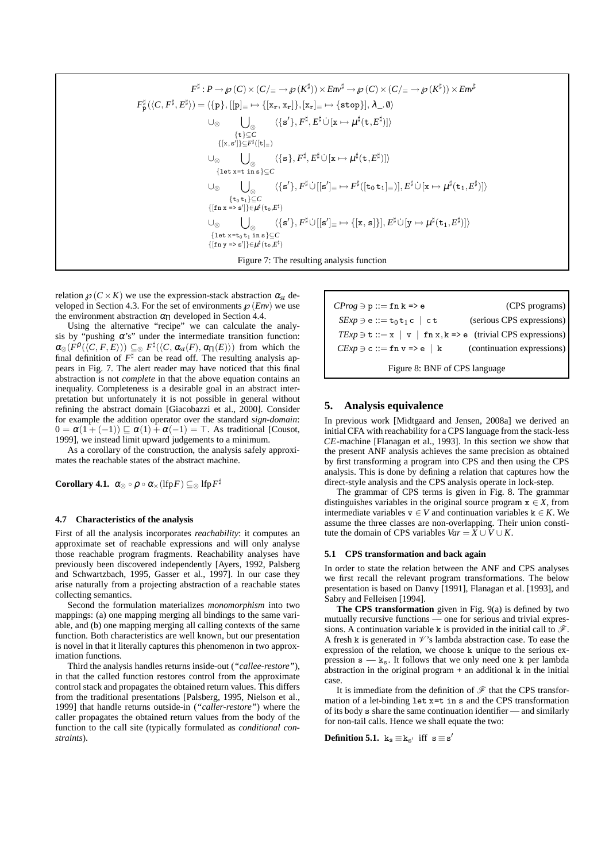$$
F^{\sharp}: P \to \wp(C) \times (C/\equiv \to \wp(K^{\sharp})) \times Em^{\sharp} \to \wp(C) \times (C/\equiv \to \wp(K^{\sharp})) \times Em^{\sharp}
$$
\n
$$
F^{\sharp}_{p}(\langle C, F^{\sharp}, E^{\sharp} \rangle) = \langle \{p\}, [[p] \equiv \mapsto \{x_{\mathbf{r}}, x_{\mathbf{r}}\}, [x_{\mathbf{r}}] \equiv \mapsto \{\text{stop}\}, \lambda_0, 0\}
$$
\n
$$
\cup_{\otimes} \bigcup_{\substack{\langle p, \langle c \rangle \rangle \subseteq C}} \langle \{s'\}, F^{\sharp}, E^{\sharp} \cup [x \mapsto \mu^{\sharp}(\mathbf{t}, E^{\sharp})] \rangle
$$
\n
$$
\langle \{s', s'\}\} \subseteq F^{\sharp}([\mathbf{t}])
$$
\n
$$
\cup_{\otimes} \bigcup_{\substack{\langle p, \langle c \rangle \rangle \subseteq C}} \langle \{s\}, F^{\sharp}, E^{\sharp} \cup [x \mapsto \mu^{\sharp}(\mathbf{t}, E^{\sharp})] \rangle
$$
\n
$$
\langle \{t \mapsto t : \text{in } s\} \subseteq C
$$
\n
$$
\cup_{\otimes} \bigcup_{\substack{\langle p, \langle c \rangle \rangle \subseteq C}} \langle \{s'\}, F^{\sharp} \cup [[s'] \equiv \mapsto F^{\sharp}([t_0 \text{ t}_1] \equiv)], E^{\sharp} \cup [x \mapsto \mu^{\sharp}(\mathbf{t}_1, E^{\sharp})] \rangle
$$
\n
$$
\langle \{r \mapsto s \mapsto s'\} \in H^{\sharp}(\mathbf{t}_0, E^{\sharp})
$$
\n
$$
\cup_{\otimes} \bigcup_{\substack{\langle p, \langle c \rangle \rangle \subseteq C}} \langle \{s', s, F^{\sharp} \cup [[s'] \equiv \mapsto \{[x, s]\}], E^{\sharp} \cup [y \mapsto \mu^{\sharp}(\mathbf{t}_1, E^{\sharp})] \rangle
$$
\n
$$
\langle \{t \mapsto t \mapsto t, \text{in } s\} \subseteq C
$$
\n
$$
\langle \{r \mapsto s' \mapsto s'\} \in H^{\sharp}(\mathbf{t}_0, E^{\sharp})
$$
\nFigure 7: The resulting analysis function

relation  $\mathcal{O}(C \times K)$  we use the expression-stack abstraction  $\alpha_{st}$  developed in Section 4.3. For the set of environments  $\wp(Env)$  we use the environment abstraction  $\alpha_{\Pi}$  developed in Section 4.4.

Using the alternative "recipe" we can calculate the analysis by "pushing  $\alpha$ 's" under the intermediate transition function:  $\alpha_{\otimes}(F^{\rho}(\langle C, F, E \rangle)) \subseteq_{\otimes} F^{\sharp}(\langle C, \alpha_{st}(F), \alpha_{\Pi}(E) \rangle)$  from which the final definition of  $F^{\sharp}$  can be read off. The resulting analysis appears in Fig. 7. The alert reader may have noticed that this final abstraction is not *complete* in that the above equation contains an inequality. Completeness is a desirable goal in an abstract interpretation but unfortunately it is not possible in general without refining the abstract domain [Giacobazzi et al., 2000]. Consider for example the addition operator over the standard *sign-domain*:  $0 = \alpha(1 + (-1)) \sqsubseteq \alpha(1) + \alpha(-1) = \top$ . As traditional [Cousot, 1999], we instead limit upward judgements to a minimum.

As a corollary of the construction, the analysis safely approximates the reachable states of the abstract machine.

**Corollary 4.1.**  $\alpha_{\otimes} \circ \rho \circ \alpha_{\times} (\text{lfp}F) \subseteq_{\otimes} \text{lfp}F^{\sharp}$ 

## **4.7 Characteristics of the analysis**

First of all the analysis incorporates *reachability*: it computes an approximate set of reachable expressions and will only analyse those reachable program fragments. Reachability analyses have previously been discovered independently [Ayers, 1992, Palsberg and Schwartzbach, 1995, Gasser et al., 1997]. In our case they arise naturally from a projecting abstraction of a reachable states collecting semantics.

Second the formulation materializes *monomorphism* into two mappings: (a) one mapping merging all bindings to the same variable, and (b) one mapping merging all calling contexts of the same function. Both characteristics are well known, but our presentation is novel in that it literally captures this phenomenon in two approximation functions.

Third the analysis handles returns inside-out (*"callee-restore"*), in that the called function restores control from the approximate control stack and propagates the obtained return values. This differs from the traditional presentations [Palsberg, 1995, Nielson et al., 1999] that handle returns outside-in (*"caller-restore"*) where the caller propagates the obtained return values from the body of the function to the call site (typically formulated as *conditional constraints*).

| $CProg \ni p ::= fn k => e$                                            | (CPS programs)             |  |
|------------------------------------------------------------------------|----------------------------|--|
| $SExp \ni e ::= t_0 t_1 c \mid ct$                                     | (serious CPS expressions)  |  |
| $TExp \ni t ::= x \mid v \mid fin x, k => e$ (trivial CPS expressions) |                            |  |
| $CExp \ni c ::= fn v => e   k$                                         | (continuation expressions) |  |
| Figure 8: BNF of CPS language                                          |                            |  |

## **5. Analysis equivalence**

In previous work [Midtgaard and Jensen, 2008a] we derived an initial CFA with reachability for a CPS language from the stack-less *CE*-machine [Flanagan et al., 1993]. In this section we show that the present ANF analysis achieves the same precision as obtained by first transforming a program into CPS and then using the CPS analysis. This is done by defining a relation that captures how the direct-style analysis and the CPS analysis operate in lock-step.

The grammar of CPS terms is given in Fig. 8. The grammar distinguishes variables in the original source program  $x \in X$ , from intermediate variables  $v \in V$  and continuation variables  $k \in K$ . We assume the three classes are non-overlapping. Their union constitute the domain of CPS variables  $Var = X \cup V \cup K$ .

#### **5.1 CPS transformation and back again**

In order to state the relation between the ANF and CPS analyses we first recall the relevant program transformations. The below presentation is based on Danvy [1991], Flanagan et al. [1993], and Sabry and Felleisen [1994].

**The CPS transformation** given in Fig. 9(a) is defined by two mutually recursive functions — one for serious and trivial expressions. A continuation variable k is provided in the initial call to  $\mathscr{F}$ . A fresh k is generated in  $\mathcal{V}$ 's lambda abstraction case. To ease the expression of the relation, we choose k unique to the serious expression  $s - k_s$ . It follows that we only need one k per lambda abstraction in the original program  $+$  an additional  $k$  in the initial case.

It is immediate from the definition of  $\mathcal F$  that the CPS transformation of a let-binding let x=t in s and the CPS transformation of its body s share the same continuation identifier — and similarly for non-tail calls. Hence we shall equate the two:

**Definition 5.1.**  $k_s \equiv k_{s'}$  iff  $s \equiv s'$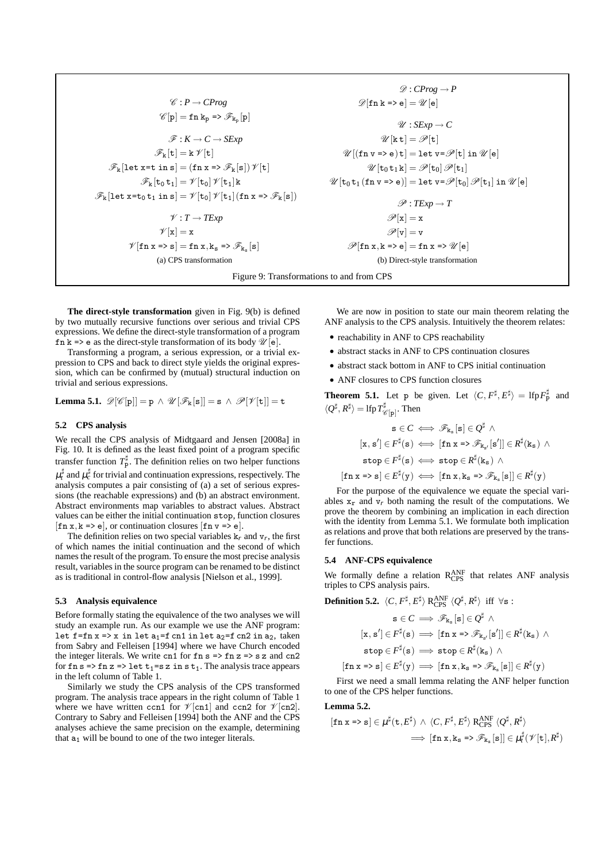$$
\mathscr{C}: P \to \text{CProg} \qquad \mathscr{D}: \text{CProg} \to P
$$
\n
$$
\mathscr{C}[p] = \text{fn } k_{p} \Rightarrow \mathscr{F}_{k_{p}}[p]
$$
\n
$$
\mathscr{F}_{k}[t] = k \mathscr{V}[t]
$$
\n
$$
\mathscr{F}_{k}[t] = k \mathscr{V}[t]
$$
\n
$$
\mathscr{F}_{k}[t] = k \mathscr{V}[t]
$$
\n
$$
\mathscr{F}_{k}[t] = k \mathscr{V}[t]
$$
\n
$$
\mathscr{F}_{k}[t] = k \mathscr{V}[t]
$$
\n
$$
\mathscr{F}_{k}[t] = k \mathscr{V}[t]
$$
\n
$$
\mathscr{F}_{k}[t] = k \mathscr{V}[t]
$$
\n
$$
\mathscr{F}_{k}[t] = k \mathscr{V}[t]
$$
\n
$$
\mathscr{F}_{k}[t] = k \mathscr{V}[t]
$$
\n
$$
\mathscr{F}_{k}[t] = k \mathscr{V}[t]
$$
\n
$$
\mathscr{F}_{k}[t] = k \mathscr{F}[k] \mathscr{V}[t]
$$
\n
$$
\mathscr{F}_{k}[t] = k \mathscr{V}[t] \mathscr{V}[t] = k \mathscr{V}[t] \mathscr{V}[t] = k \mathscr{V}[t] \mathscr{V}[t] = k \mathscr{V}[t] \mathscr{V}[t] = k \mathscr{V}[t] \mathscr{V}[t] = k \mathscr{V}[t] \mathscr{V}[t] = k \mathscr{V}[t] \mathscr{V}[t] = k \mathscr{V}[t] \mathscr{V}[t] = k \mathscr{V}[t] \mathscr{V}[t] = k \mathscr{V}[t] \mathscr{V}[t] = k \mathscr{V}[t] = k \mathscr{V}[t] = k \mathscr{V}[t] = k \mathscr{V}[t] = k \mathscr{V}[t] = k \mathscr{V}[t] = k \mathscr{V}[t] = k \mathscr{V}[t] = k \mathscr{V}[t] = k \mathscr{V}[t] = k \mathscr{V}[t] = k \mathscr{V}[t] = k \mathscr{V}[t] = k \mathscr{V}[t] = k \mathscr{V}[t] = k \mathscr{V}[t] = k \mathscr{V}[t] =
$$

**The direct-style transformation** given in Fig. 9(b) is defined by two mutually recursive functions over serious and trivial CPS expressions. We define the direct-style transformation of a program fn k => e as the direct-style transformation of its body  $\mathcal{U}[\mathbf{e}]$ .

Transforming a program, a serious expression, or a trivial expression to CPS and back to direct style yields the original expression, which can be confirmed by (mutual) structural induction on trivial and serious expressions.

$$
\textbf{Lemma 5.1. }\mathscr{D}[\mathscr{C}[p]] = p \ \wedge \ \mathscr{U}[\mathscr{F}_k[s]] = s \ \wedge \ \mathscr{P}[\mathscr{V}[t]] = t
$$

#### **5.2 CPS analysis**

We recall the CPS analysis of Midtgaard and Jensen [2008a] in Fig. 10. It is defined as the least fixed point of a program specific transfer function  $T_{\rm p}^{\sharp}$ . The definition relies on two helper functions  $\mu_t^{\sharp}$  and  $\mu_c^{\sharp}$  for trivial and continuation expressions, respectively. The analysis computes a pair consisting of (a) a set of serious expressions (the reachable expressions) and (b) an abstract environment. Abstract environments map variables to abstract values. Abstract values can be either the initial continuation stop, function closures  $[\texttt{fn} x, k \Rightarrow e]$ , or continuation closures  $[\texttt{fn} v \Rightarrow e]$ .

The definition relies on two special variables  $k_r$  and  $v_r$ , the first of which names the initial continuation and the second of which names the result of the program. To ensure the most precise analysis result, variables in the source program can be renamed to be distinct as is traditional in control-flow analysis [Nielson et al., 1999].

#### **5.3 Analysis equivalence**

Before formally stating the equivalence of the two analyses we will study an example run. As our example we use the ANF program: let f=fn x => x in let  $a_1$ =f cn1 in let  $a_2$ =f cn2 in  $a_2$ , taken from Sabry and Felleisen [1994] where we have Church encoded the integer literals. We write cn1 for  $fn s \Rightarrow fn z \Rightarrow s z$  and cn2 for fn s => fn z => let  $t_1$ =s z in s  $t_1$ . The analysis trace appears in the left column of Table 1.

Similarly we study the CPS analysis of the CPS transformed program. The analysis trace appears in the right column of Table 1 where we have written ccn1 for  $\mathcal{V}[\text{cn1}]$  and ccn2 for  $\mathcal{V}[\text{cn2}]$ . Contrary to Sabry and Felleisen [1994] both the ANF and the CPS analyses achieve the same precision on the example, determining that  $a_1$  will be bound to one of the two integer literals.

We are now in position to state our main theorem relating the ANF analysis to the CPS analysis. Intuitively the theorem relates:

- reachability in ANF to CPS reachability
- abstract stacks in ANF to CPS continuation closures
- abstract stack bottom in ANF to CPS initial continuation
- ANF closures to CPS function closures

**Theorem 5.1.** Let p be given. Let  $\langle C, F^{\sharp}, E^{\sharp} \rangle = \mathrm{lfp} F_{\mathrm{p}}^{\sharp}$  and  $\langle Q^{\sharp}, R^{\sharp} \rangle = \text{lfp } T^{\sharp}_{\mathscr{C}[\mathbf{p}]}$ . Then

$$
\begin{aligned} \mathbf{s} &\in C \iff \mathscr{F}_{k_s}[\mathbf{s}] \in \mathcal{Q}^{\sharp} \;\wedge \\ & [\mathbf{x}, \mathbf{s}'] \in \mathit{F}^{\sharp}(\mathbf{s}) \iff [\texttt{fn}\; \mathbf{x} \Rightarrow \mathscr{F}_{k_{s'}}[\mathbf{s}']] \in \mathit{R}^{\sharp}(k_{s}) \;\wedge \\ &\texttt{stop} \in \mathit{F}^{\sharp}(\mathbf{s}) \iff \texttt{stop} \in \mathit{R}^{\sharp}(k_{s}) \;\wedge \\ & [\texttt{fn}\; \mathbf{x} \Rightarrow \mathbf{s}] \in \mathit{E}^{\sharp}(\mathbf{y}) \iff [\texttt{fn}\; \mathbf{x}, \mathbf{k}_{s} \Rightarrow \mathscr{F}_{k_{s}}[\mathbf{s}]] \in \mathit{R}^{\sharp}(\mathbf{y}) \end{aligned}
$$

For the purpose of the equivalence we equate the special variables  $x_r$  and  $v_r$  both naming the result of the computations. We prove the theorem by combining an implication in each direction with the identity from Lemma 5.1. We formulate both implication as relations and prove that both relations are preserved by the transfer functions.

#### **5.4 ANF-CPS equivalence**

We formally define a relation RANF that relates ANF analysis triples to CPS analysis pairs.

**Definition 5.2.**  $\langle C, F^{\sharp}, E^{\sharp} \rangle$  R<sub>CPS</sub>  $\langle Q^{\sharp}, R^{\sharp} \rangle$  iff  $\forall s$ :

$$
\mathbf{s} \in C \implies \mathscr{F}_{\mathbf{k}_s}[\mathbf{s}] \in Q^{\sharp} \wedge
$$

$$
[\mathbf{x}, \mathbf{s}'] \in F^{\sharp}(\mathbf{s}) \implies [\mathbf{f} \mathbf{n} \mathbf{x} \Rightarrow \mathscr{F}_{\mathbf{k}_{\mathbf{s}'}}[\mathbf{s}']] \in R^{\sharp}(\mathbf{k}_{\mathbf{s}}) \wedge
$$

$$
\mathbf{stop} \in F^{\sharp}(\mathbf{s}) \implies \mathbf{stop} \in R^{\sharp}(\mathbf{k}_{\mathbf{s}}) \wedge
$$

$$
[\mathbf{f} \mathbf{n} \mathbf{x} \Rightarrow \mathbf{s}] \in E^{\sharp}(\mathbf{y}) \implies [\mathbf{f} \mathbf{n} \mathbf{x}, \mathbf{k}_{\mathbf{s}} \Rightarrow \mathscr{F}_{\mathbf{k}_{\mathbf{s}}}[\mathbf{s}]] \in R^{\sharp}(\mathbf{y})
$$

First we need a small lemma relating the ANF helper function to one of the CPS helper functions.

#### **Lemma 5.2.**

$$
\begin{aligned} [\text{fn } x \Rightarrow \mathbf{s}] \in \mu^{\sharp}(\mathbf{t}, E^{\sharp}) \,\wedge\, \langle C, F^{\sharp}, E^{\sharp} \rangle \, \text{R}_{\text{CPS}}^{\text{ANF}} \, \langle \mathcal{Q}^{\sharp}, R^{\sharp} \rangle \\ \implies [\text{fn } x, k_{\mathbf{s}} \Rightarrow \mathscr{F}_{k_{\mathbf{s}}}[\mathbf{s}]] \in \mu^{\sharp}_{t}(\mathscr{V}[\mathbf{t}], R^{\sharp}) \end{aligned}
$$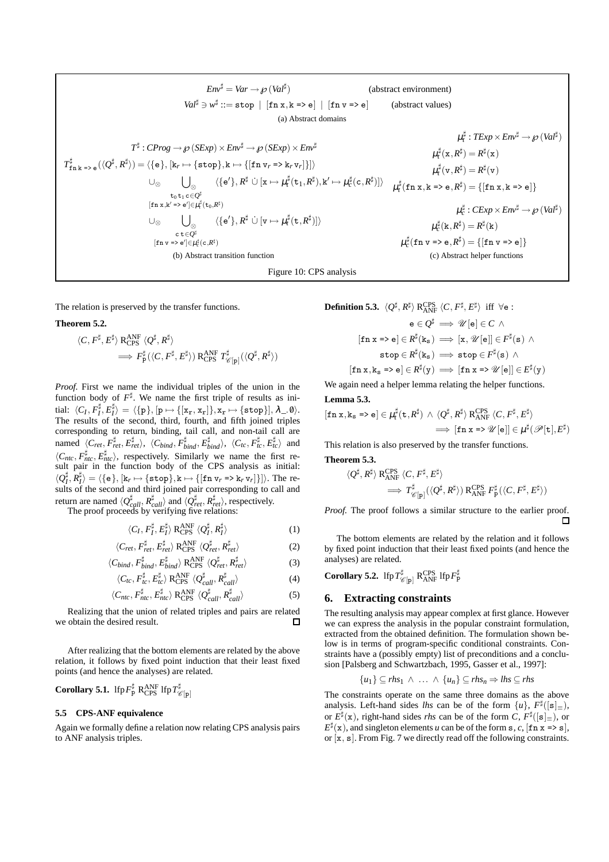$$
E n^{\sharp} = Var \rightarrow \mathcal{O}(Val^{\sharp})
$$
 (abstract environment)  
\n
$$
Val^{\sharp} \ni w^{\sharp} ::= stop \mid [\text{fn } x, k \Rightarrow e] \mid [\text{fn } v = > e]
$$
 (abstract values)  
\n(a) Abstract domains  
\n
$$
T^{\sharp}: CF \circ \mathcal{O} \rightarrow \mathcal{O}(Sel^{\sharp})
$$
  
\n
$$
T^{\sharp}_{\text{fn } k} \rightarrow e((Q^{\sharp}, R^{\sharp})) = \langle \{e\}, [k_r \mapsto \{\text{stop}\}, k \mapsto \{[\text{fn } v_r = > k_r v_r]\}] \rangle
$$
  
\n
$$
\cup \otimes \bigcup_{\substack{t_0, t_1, c \in Q^{\sharp} \\ t_0 \in \{e'\}, R^{\sharp} \cup [\textbf{x} \mapsto \mu_r^{\sharp}(t_1, R^{\sharp}), k' \mapsto \mu_c^{\sharp}(c, R^{\sharp})] \rangle}^{\sharp} \downarrow \mu_r^{\sharp}(\textbf{x}, R^{\sharp}) = R^{\sharp}(v)
$$
  
\n
$$
\cup \otimes \bigcup_{\substack{t_0, t_1, c \in Q^{\sharp} \\ c \in Q^{\sharp}}} \langle \{e'\}, R^{\sharp} \cup [\textbf{x} \mapsto \mu_r^{\sharp}(t_1, R^{\sharp}), k' \mapsto \mu_c^{\sharp}(c, R^{\sharp})] \rangle \downarrow \mu_r^{\sharp}(\textbf{fn } x, k = > e, R^{\sharp}) = \{[\text{fn } x, k \Rightarrow e]\}
$$
  
\n
$$
\cup \otimes \bigcup_{\substack{c \in Q^{\sharp} \\ c \in Q^{\sharp}}} \langle \{e'\}, R^{\sharp} \cup [\textbf{v} \mapsto \mu_r^{\sharp}(t, R^{\sharp})] \rangle \downarrow \mu_c^{\sharp}(k, R^{\sharp}) = R^{\sharp}(k)
$$
  
\n
$$
\mu_c^{\sharp}(k, R^{\sharp}) = R^{\sharp}(k)
$$
  
\n
$$
\downarrow^{\sharp} \circ \mathcal{O}(Val^{\sharp})
$$
  
\n
$$
\downarrow^{\sharp} \circ \mathcal{O}(Val^{\sharp})
$$
  
\n
$$
\downarrow^{\sharp} \circ \mathcal{O}(Val^{\sharp})
$$
  
\n
$$
\downarrow^{\sharp} \circ \mathcal{O}(Val
$$

The relation is preserved by the transfer functions.

**Theorem 5.2.**

$$
\begin{aligned} \langle C, F^\sharp, E^\sharp \rangle \: & \mathsf{R}^\text{ANF}_\text{CPS} \: \langle \mathcal{Q}^\sharp, R^\sharp \rangle \\ \implies F^\sharp_\text{p}(\langle C, F^\sharp, E^\sharp \rangle) \: \mathsf{R}^\text{ANF}_\text{CPS} \: T^\sharp_{\mathscr{C}[\textbf{p}]}(\langle \mathcal{Q}^\sharp, R^\sharp \rangle) \end{aligned}
$$

*Proof.* First we name the individual triples of the union in the function body of  $F^{\sharp}$ . We name the first triple of results as initial:  $\langle C_I, F_I^{\sharp}, E_I^{\sharp} \rangle = \langle \{p\}, [p \mapsto \{[x_{\tt r}, x_{\tt r}]\}, x_{\tt r} \mapsto \{ \tt stop\}], \lambda_-. \emptyset \rangle.$ The results of the second, third, fourth, and fifth joined triples corresponding to return, binding, tail call, and non-tail call are named  $\langle C_{ret}, F_{ret}^{\sharp}, E_{ret}^{\sharp} \rangle$ ,  $\langle C_{bind}, F_{bind}^{\sharp}, E_{bind}^{\sharp} \rangle$ ,  $\langle C_{tc}, F_{tc}^{\sharp}, E_{tc}^{\sharp} \rangle$  and  $\langle C_{ntc}, F_{ntc}^{\sharp}, E_{ntc}^{\sharp} \rangle$ , respectively. Similarly we name the first result pair in the function body of the CPS analysis as initial:  $\langle Q_I^{\sharp}, R_I^{\sharp} \rangle = \langle \{\mathbf{e}\}, [\mathbf{k}_r \mapsto {\{\texttt{stop}\}}, \mathbf{k} \mapsto \{[\texttt{fn } \mathbf{v}_r \Rightarrow \mathbf{k}_r \mathbf{v}_r]\}] \rangle$ . The results of the second and third joined pair corresponding to call and return are named  $\langle Q_{call}^{\sharp}, R_{call}^{\sharp} \rangle$  and  $\langle Q_{ret}^{\sharp}, R_{ret}^{\sharp} \rangle$ , respectively.

The proof proceeds by verifying five relations:

$$
\langle C_I, F_I^{\sharp}, E_I^{\sharp} \rangle \, \mathsf{R}_{\text{CPS}}^{\text{ANF}} \, \langle \mathcal{Q}_I^{\sharp}, R_I^{\sharp} \rangle \tag{1}
$$

$$
\langle C_{ret}, F_{ret}^{\sharp}, E_{ret}^{\sharp} \rangle \operatorname{R_{CPS}^{ANF}} \langle \mathcal{Q}_{ret}^{\sharp}, R_{ret}^{\sharp} \rangle \tag{2}
$$

$$
\langle C_{bind}, F^{\sharp}_{bind}, E^{\sharp}_{bind} \rangle \text{ R_{CPS}^{ANF}} \langle Q^{\sharp}_{ret}, R^{\sharp}_{ret} \rangle \tag{3}
$$

$$
\langle C_{tc}, F_{tc}^{\sharp}, E_{tc}^{\sharp} \rangle \operatorname{R_{CPS}^{ANF}} \langle \mathcal{Q}_{call}^{\sharp}, R_{call}^{\sharp} \rangle \tag{4}
$$

$$
\langle C_{ntc}, F_{ntc}^{\sharp}, E_{ntc}^{\sharp} \rangle \, \mathsf{R}_{\text{CPS}}^{\text{ANF}} \, \langle \mathcal{Q}_{\text{call}}^{\sharp}, \mathsf{R}_{\text{call}}^{\sharp} \rangle \tag{5}
$$

Realizing that the union of related triples and pairs are related we obtain the desired result. П

After realizing that the bottom elements are related by the above relation, it follows by fixed point induction that their least fixed points (and hence the analyses) are related.

**Corollary 5.1.** If  $F_P^{\sharp}$  RANF lfp  $T_{\mathscr{C}[p]}^{\sharp}$ 

# **5.5 CPS-ANF equivalence**

Again we formally define a relation now relating CPS analysis pairs to ANF analysis triples.

**Definition 5.3.**  $\langle Q^{\sharp}, R^{\sharp} \rangle$  RCPS  $\langle C, F^{\sharp}, E^{\sharp} \rangle$  iff  $\forall$ e :

$$
e \in Q^{\sharp} \implies \mathscr{U}[e] \in C \land
$$

$$
[\text{fn } x \Rightarrow e] \in R^{\sharp}(k_s) \implies [x, \mathscr{U}[e]] \in F^{\sharp}(s) \land
$$

$$
\text{stop} \in R^{\sharp}(k_s) \implies \text{stop} \in F^{\sharp}(s) \land
$$

$$
[\text{fn } x, k_s \Rightarrow e] \in R^{\sharp}(y) \implies [\text{fn } x \Rightarrow \mathscr{U}[e]] \in E^{\sharp}(y)
$$

 $\cdot$ )

We again need a helper lemma relating the helper functions.

### **Lemma 5.3.**

$$
\begin{aligned} [\text{fn}\; \text{x}, \text{k}_\text{s} \Rightarrow \text{e}] \in \mu_t^{\sharp}(\text{t}, R^{\sharp}) \;\land\; \langle \mathcal{Q}^{\sharp}, R^{\sharp} \rangle \; \text{R}_{\text{ANF}}^{\text{CPS}} \; \langle C, F^{\sharp}, E^{\sharp} \rangle \\ \implies [\text{fn}\; \text{x} \Rightarrow \mathscr{U}[\text{e}]] \in \mu^{\sharp}(\mathscr{P}[\text{t}], E^{\sharp}) \end{aligned}
$$

This relation is also preserved by the transfer functions.

#### **Theorem 5.3.**

$$
\begin{split} \langle \mathcal{Q}^\sharp, R^\sharp \rangle \: & \mathcal{R}^{\text{CPS}}_{\text{ANF}} \: \langle C, F^\sharp, E^\sharp \rangle \\ & \implies T_{\mathscr{C}[\mathbf{p}]}^\sharp (\langle \mathcal{Q}^\sharp, R^\sharp \rangle) \: \mathcal{R}^{\text{CPS}}_{\text{ANF}} \: F^\sharp_{\mathbf{p}} (\langle C, F^\sharp, E^\sharp \rangle) \end{split}
$$

*Proof.* The proof follows a similar structure to the earlier proof.  $\Box$ 

The bottom elements are related by the relation and it follows by fixed point induction that their least fixed points (and hence the analyses) are related.

Corollary 5.2. If 
$$
pT_{\mathcal{C}[p]}^{\sharp}
$$
  $R_{\text{ANF}}^{\text{CPS}}$    
 If  $pF_p^{\sharp}$ 

## **6. Extracting constraints**

The resulting analysis may appear complex at first glance. However we can express the analysis in the popular constraint formulation, extracted from the obtained definition. The formulation shown below is in terms of program-specific conditional constraints. Constraints have a (possibly empty) list of preconditions and a conclusion [Palsberg and Schwartzbach, 1995, Gasser et al., 1997]:

$$
\{u_1\} \subseteq rhs_1 \wedge \ \ldots \ \wedge \ \{u_n\} \subseteq rhs_n \Rightarrow lhs \subseteq rhs
$$

The constraints operate on the same three domains as the above analysis. Left-hand sides *lhs* can be of the form  $\{u\}$ ,  $F^{\sharp}([\mathbf{s}]_{\equiv})$ , or  $E^{\sharp}(\mathbf{x})$ , right-hand sides *rhs* can be of the form *C*,  $F^{\sharp}([\mathbf{s}]_{\equiv})$ , or  $E^{\sharp}(\mathbf{x})$ , and singleton elements *u* can be of the form **s**, *c*,  $[\text{fn } \mathbf{x} \Rightarrow \mathbf{s}]$ , or  $[x, s]$ . From Fig. 7 we directly read off the following constraints.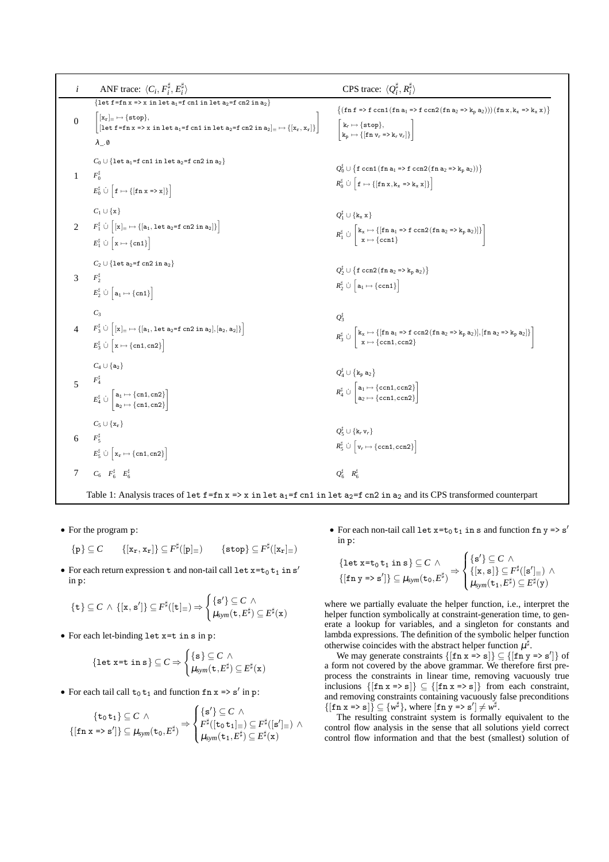| $\dot{i}$        | ANF trace: $\langle C_i, F_i^{\sharp}, E_i^{\sharp} \rangle$                                                                                                                                                                                                                                                                                                                  | CPS trace: $\langle Q_i^{\sharp}, R_i^{\sharp} \rangle$                                                                                                                                                                                                                                                                                  |
|------------------|-------------------------------------------------------------------------------------------------------------------------------------------------------------------------------------------------------------------------------------------------------------------------------------------------------------------------------------------------------------------------------|------------------------------------------------------------------------------------------------------------------------------------------------------------------------------------------------------------------------------------------------------------------------------------------------------------------------------------------|
| $\boldsymbol{0}$ | $\{\text{let f=fn x} \Rightarrow x \text{ in let } a_1 = f \text{ cn1 in let } a_2 = f \text{ cn2 in } a_2\}$<br>$\begin{aligned} &[\mathtt{x_r}]_\equiv \mapsto \{\mathtt{stop}\},\\ &[\mathtt{let\,f=fn\,x} \Rightarrow \mathtt{x\,in\,let\,a_1=f\,cn1\,in\,let\,a_2=f\,cn2\,in\,a_2}]_\equiv \mapsto \big\{[\mathtt{x_r,x_r}]\big\} \end{aligned}$<br>$\lambda_-\!\!\!$ .0 | $\{(fn f \Rightarrow f \text{ ccn1} (fn a_1 \Rightarrow f \text{ ccn2} (fn a_2 \Rightarrow k_p a_2)))(fn x, k_x \Rightarrow k_x x)\}$<br>$\begin{bmatrix} \mathbf{k}_r \mapsto \{\texttt{stop}\},\ \ \mathbf{k}_p \mapsto \{[\texttt{fn}\ \mathtt{v}_r = > \mathbf{k}_r\ \mathtt{v}_r]\} \end{bmatrix}$                                  |
| $\mathbf{1}$     | $C_0 \cup \{ \text{let } a_1 = f \text{ cn1 in } \text{let } a_2 = f \text{ cn2 in } a_2 \}$<br>$F_0^{\sharp}$<br>$E_0^{\sharp}$ $\cup$ $\left[ \mathbf{f} \mapsto \{ \left[ \mathbf{f} \mathbf{n} \mathbf{x} \Rightarrow \mathbf{x} \right] \} \right]$                                                                                                                      | $Q_0^\sharp \cup \big\{ \texttt{f}\ \texttt{c}\texttt{c}\texttt{n} \texttt{1}\ (\texttt{fn}\ \texttt{a}_1 \Rightarrow \texttt{f}\ \texttt{c}\texttt{c}\texttt{n} \texttt{2}\ (\texttt{fn}\ \texttt{a}_2 \Rightarrow \texttt{k}_\texttt{p}\ \texttt{a}_2) )\big\}$<br>$R_0^{\sharp}$ $\cup$ $f \mapsto \{[fn x, k_x \Rightarrow k_x x]\}$ |
| $\overline{2}$   | $C_1 \cup \{x\}$<br>$F_1^\sharp\ \dot\cup\ \Big[ [\mathtt{x}]_\equiv \mapsto \{ [\mathtt{a}_1, \mathtt{let\ a}_2\texttt{=f\ cn2\ in\ a}_2]\}\Big]$<br>$E_1^{\sharp}$ $\cup$ $\left[$ x $\mapsto$ {cn1} $\right]$                                                                                                                                                              | $Q_1^{\sharp} \cup \{k_x x\}$<br>$R_1^{\sharp}$ $\cup$ $\begin{bmatrix} k_x \mapsto \{[\text{fn } a_1 \Rightarrow \text{f } \text{ccn2}(\text{fn } a_2 \Rightarrow k_p a_2)]\} \\ x \mapsto \{\text{ccn1}\} \end{bmatrix}$                                                                                                               |
| 3                | $C_2 \cup \{ \text{let } a_2 = f \text{ cn2 in } a_2 \}$<br>$F_2^{\sharp}$<br>$E_2^{\sharp} \cup \{a_1 \mapsto \{\texttt{cn1}\}\}\$                                                                                                                                                                                                                                           | $Q_2^{\sharp} \cup \{f \, \text{ccn2}(\text{fn } a_2 \Rightarrow k_n a_2)\}\$<br>$R_2^{\sharp}$ $\cup$ $\left[a_1 \mapsto \{\texttt{ccn1}\}\right]$                                                                                                                                                                                      |
| $\overline{4}$   | $C_3$<br>$F_3^\sharp\,\,\dot\cup\,\,\left[\,\left[\mathtt{x}\right]_{\equiv}\mapsto\left\{\left[\mathtt{a}_1,\,\mathtt{let}\,\mathtt{a}_2\texttt{=f}\,\mathtt{cn2}\,\mathtt{in}\,\mathtt{a}_2\right]\!,\left[\mathtt{a}_2,\,\mathtt{a}_2\right]\right\}\right]$<br>$E_3^{\sharp}$ $\cup$ $\left[$ x $\mapsto$ {cn1, cn2}                                                      | $Q_3^{\sharp}$<br>$R_3^{\sharp} \cup \left[ \begin{matrix} \mathbf{k}_x \mapsto \{[\texttt{fn a}_1 =\texttt{? f } \texttt{ccn2} (\texttt{fn a}_2 =\texttt{)} \mathbf{k}_p \ \mathbf{a}_2\},[\texttt{fn a}_2 =\texttt{? k}_p \ \mathbf{a}_2\}]\end{matrix} \right]$                                                                       |
| $\overline{5}$   | $C_4\cup\{\mathtt{a}_2\}$<br>$F_4^{\sharp}$<br>$E_4^{\sharp} \cup \left[ \begin{matrix} \mathsf{a}_1 \mapsto \{ \texttt{cn1}, \texttt{cn2} \} \\ \mathsf{a}_2 \mapsto \{ \texttt{cn1}, \texttt{cn2} \} \end{matrix} \right]$                                                                                                                                                  | $Q_4^\sharp\cup\{\mathtt{k_p}\mathtt{a}_2\}$<br>$R_4^{\sharp} \cup \left[ \begin{matrix} a_1 \mapsto \{ccn1,ccn2\} \\ a_2 \mapsto \{ccn1,ccn2\} \end{matrix} \right]$                                                                                                                                                                    |
| 6                | $C_5 \cup \{x_r\}$<br>$F_z^{\sharp}$<br>$E_5^{\sharp}$ $\cup$ $\left[x_r \mapsto \{\texttt{cn1}, \texttt{cn2}\}\right]$                                                                                                                                                                                                                                                       | $Q_5^{\sharp} \cup \{\texttt{k}_r \texttt{v}_r\}$<br>$R_5^{\sharp}$ $\cup$ $\left[v_r \mapsto \{\texttt{ccn1}, \texttt{ccn2}\}\right]$                                                                                                                                                                                                   |
| $7\overline{ }$  | $C_6$ $F_6^{\sharp}$ $E_6^{\sharp}$                                                                                                                                                                                                                                                                                                                                           | $Q_6^{\sharp}$ $R_6^{\sharp}$                                                                                                                                                                                                                                                                                                            |

• For the program p:

$$
\{{\tt p}\}\subseteq C \qquad \{[{\tt x}_{\tt r},{\tt x}_{\tt r}]\}\subseteq F^\sharp([{\tt p}]_\equiv)\qquad \{{\tt stop}\}\subseteq F^\sharp([{\tt x}_{\tt r}]_\equiv)
$$

• For each return expression  $t$  and non-tail call let  $x=t_0 t_1$  in  $s'$ in p:

$$
\{{\tt t}\}\subseteq C\ \wedge\ \{[{\tt x},{\tt s}']\}\subseteq F^\sharp([{\tt t}]_\equiv)\Rightarrow \begin{cases} \{{\tt s}'\}\subseteq C\ \wedge \\ \mu_{\text{sym}}({\tt t},E^\sharp)\subseteq E^\sharp({\tt x})\end{cases}
$$

• For each let-binding let x=t in s in p:

$$
\{ \text{let } x \texttt{=t in s} \} \subseteq C \Rightarrow \begin{cases} \{ \texttt{s} \} \subseteq C \, \wedge \\ \mu_{\text{sym}}(\texttt{t}, E^\sharp) \subseteq E^\sharp(\texttt{x}) \end{cases}
$$

• For each tail call  $t_0 t_1$  and function fn  $x \Rightarrow s'$  in p:

$$
\{\mathtt{t}_0\mathtt{t}_1\}\subseteq C\ \land \\ \{[\mathtt{fn}\ \mathtt{x} \mathbin{{=}} s']\} \subseteq \mu_{sym}(\mathtt{t}_0,E^{\sharp}) \Rightarrow \begin{cases} \{\mathtt{s}'\}\subseteq C\ \land \\ F^{\sharp}([\mathtt{t}_0\mathtt{t}_1]_{\equiv})\subseteq F^{\sharp}([\mathtt{s}']_{\equiv})\ \land \\ \mu_{sym}(\mathtt{t}_1,E^{\sharp})\subseteq E^{\sharp}(\mathtt{x}) \end{cases}
$$

• For each non-tail call let  $x=t_0 t_1$  in s and function fn  $y \Rightarrow s'$ in p:

$$
\{\texttt{let}\ x = \texttt{t}_0\ \texttt{t}_1\ \texttt{in}\ \texttt{s}\} \subseteq C \ \land \\ \{[\texttt{fn}\ y = > \texttt{s}']\} \subseteq \mu_{sym}(\texttt{t}_0, E^{\sharp}) \Rightarrow \begin{cases} \{\texttt{s}'\} \subseteq C \ \land \\ \{[x, \texttt{s}]\} \subseteq F^{\sharp}([ \texttt{s}' ]_{\equiv}) \ \land \\ \mu_{sym}(\texttt{t}_1, E^{\sharp}) \subseteq E^{\sharp} (y) \end{cases}
$$

where we partially evaluate the helper function, i.e., interpret the helper function symbolically at constraint-generation time, to generate a lookup for variables, and a singleton for constants and lambda expressions. The definition of the symbolic helper function otherwise coincides with the abstract helper function  $\mu^{\sharp}$ .

We may generate constraints  $\{[\text{fn } x = > \text{s}]\} \subseteq \{[\text{fn } y = > \text{s}']\}$  of a form not covered by the above grammar. We therefore first preprocess the constraints in linear time, removing vacuously true inclusions  $\{[\text{fn } x = > s]\} \subseteq \{[\text{fn } x = > s]\}$  from each constraint, and removing constraints containing vacuously false preconditions  $\{[\texttt{fn} \times = > \texttt{s}]\} \subseteq \{w^{\sharp}\}, \text{ where } [\texttt{fn} \texttt{y} = > \texttt{s}'] \neq w^{\sharp}.$ 

The resulting constraint system is formally equivalent to the control flow analysis in the sense that all solutions yield correct control flow information and that the best (smallest) solution of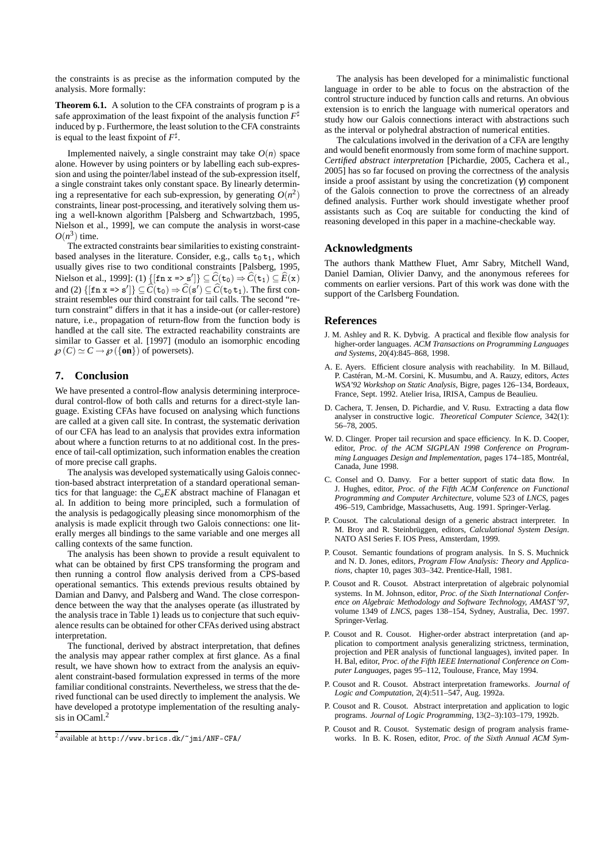the constraints is as precise as the information computed by the analysis. More formally:

**Theorem 6.1.** A solution to the CFA constraints of program p is a safe approximation of the least fixpoint of the analysis function  $F^{\sharp}$ induced by p. Furthermore, the least solution to the CFA constraints is equal to the least fixpoint of  $F^{\sharp}$ .

Implemented naively, a single constraint may take  $O(n)$  space alone. However by using pointers or by labelling each sub-expression and using the pointer/label instead of the sub-expression itself, a single constraint takes only constant space. By linearly determining a representative for each sub-expression, by generating  $O(n^2)$ constraints, linear post-processing, and iteratively solving them using a well-known algorithm [Palsberg and Schwartzbach, 1995, Nielson et al., 1999], we can compute the analysis in worst-case  $O(n^3)$  time.

The extracted constraints bear similarities to existing constraintbased analyses in the literature. Consider, e.g., calls  $t_0 t_1$ , which usually gives rise to two conditional constraints [Palsberg, 1995, Nielson et al., 1999]: (1)  $\{[\text{fn } x = > s']\} \subseteq \widehat{C}(t_0) \Rightarrow \widehat{C}(t_1) \subseteq \widehat{E}(x)$ and (2)  $\{[\text{fn } x = > s']\} \subseteq \widehat{C}(\mathbf{t}_0) \Rightarrow \widehat{C}(\mathbf{s}') \subseteq \widehat{C}(\mathbf{t}_0 \mathbf{t}_1)$ . The first constraint resembles our third constraint for tail calls. The second "return constraint" differs in that it has a inside-out (or caller-restore) nature, i.e., propagation of return-flow from the function body is handled at the call site. The extracted reachability constraints are similar to Gasser et al. [1997] (modulo an isomorphic encoding  $\mathcal{P}(C) \simeq C \rightarrow \mathcal{P}(\{\text{on}\})$  of powersets).

# **7. Conclusion**

We have presented a control-flow analysis determining interprocedural control-flow of both calls and returns for a direct-style language. Existing CFAs have focused on analysing which functions are called at a given call site. In contrast, the systematic derivation of our CFA has lead to an analysis that provides extra information about where a function returns to at no additional cost. In the presence of tail-call optimization, such information enables the creation of more precise call graphs.

The analysis was developed systematically using Galois connection-based abstract interpretation of a standard operational semantics for that language: the *CaEK* abstract machine of Flanagan et al. In addition to being more principled, such a formulation of the analysis is pedagogically pleasing since monomorphism of the analysis is made explicit through two Galois connections: one literally merges all bindings to the same variable and one merges all calling contexts of the same function.

The analysis has been shown to provide a result equivalent to what can be obtained by first CPS transforming the program and then running a control flow analysis derived from a CPS-based operational semantics. This extends previous results obtained by Damian and Danvy, and Palsberg and Wand. The close correspondence between the way that the analyses operate (as illustrated by the analysis trace in Table 1) leads us to conjecture that such equivalence results can be obtained for other CFAs derived using abstract interpretation

The functional, derived by abstract interpretation, that defines the analysis may appear rather complex at first glance. As a final result, we have shown how to extract from the analysis an equivalent constraint-based formulation expressed in terms of the more familiar conditional constraints. Nevertheless, we stress that the derived functional can be used directly to implement the analysis. We have developed a prototype implementation of the resulting analysis in OCaml.<sup>2</sup>

The analysis has been developed for a minimalistic functional language in order to be able to focus on the abstraction of the control structure induced by function calls and returns. An obvious extension is to enrich the language with numerical operators and study how our Galois connections interact with abstractions such as the interval or polyhedral abstraction of numerical entities.

The calculations involved in the derivation of a CFA are lengthy and would benefit enormously from some form of machine support. *Certified abstract interpretation* [Pichardie, 2005, Cachera et al., 2005] has so far focused on proving the correctness of the analysis inside a proof assistant by using the concretization  $(γ)$  component of the Galois connection to prove the correctness of an already defined analysis. Further work should investigate whether proof assistants such as Coq are suitable for conducting the kind of reasoning developed in this paper in a machine-checkable way.

#### **Acknowledgments**

The authors thank Matthew Fluet, Amr Sabry, Mitchell Wand, Daniel Damian, Olivier Danvy, and the anonymous referees for comments on earlier versions. Part of this work was done with the support of the Carlsberg Foundation.

#### **References**

- J. M. Ashley and R. K. Dybvig. A practical and flexible flow analysis for higher-order languages. *ACM Transactions on Programming Languages and Systems*, 20(4):845–868, 1998.
- A. E. Ayers. Efficient closure analysis with reachability. In M. Billaud, P. Castéran, M.-M. Corsini, K. Musumbu, and A. Rauzy, editors, *Actes WSA'92 Workshop on Static Analysis*, Bigre, pages 126–134, Bordeaux, France, Sept. 1992. Atelier Irisa, IRISA, Campus de Beaulieu.
- D. Cachera, T. Jensen, D. Pichardie, and V. Rusu. Extracting a data flow analyser in constructive logic. *Theoretical Computer Science*, 342(1): 56–78, 2005.
- W. D. Clinger. Proper tail recursion and space efficiency. In K. D. Cooper, editor, *Proc. of the ACM SIGPLAN 1998 Conference on Programming Languages Design and Implementation*, pages 174–185, Montréal, Canada, June 1998.
- C. Consel and O. Danvy. For a better support of static data flow. In J. Hughes, editor, *Proc. of the Fifth ACM Conference on Functional Programming and Computer Architecture*, volume 523 of *LNCS*, pages 496–519, Cambridge, Massachusetts, Aug. 1991. Springer-Verlag.
- P. Cousot. The calculational design of a generic abstract interpreter. In M. Broy and R. Steinbrüggen, editors, *Calculational System Design*. NATO ASI Series F. IOS Press, Amsterdam, 1999.
- P. Cousot. Semantic foundations of program analysis. In S. S. Muchnick and N. D. Jones, editors, *Program Flow Analysis: Theory and Applications*, chapter 10, pages 303–342. Prentice-Hall, 1981.
- P. Cousot and R. Cousot. Abstract interpretation of algebraic polynomial systems. In M. Johnson, editor, *Proc. of the Sixth International Conference on Algebraic Methodology and Software Technology, AMAST'97*, volume 1349 of *LNCS*, pages 138–154, Sydney, Australia, Dec. 1997. Springer-Verlag.
- P. Cousot and R. Cousot. Higher-order abstract interpretation (and application to comportment analysis generalizing strictness, termination, projection and PER analysis of functional languages), invited paper. In H. Bal, editor, *Proc. of the Fifth IEEE International Conference on Computer Languages*, pages 95–112, Toulouse, France, May 1994.
- P. Cousot and R. Cousot. Abstract interpretation frameworks. *Journal of Logic and Computation*, 2(4):511–547, Aug. 1992a.
- P. Cousot and R. Cousot. Abstract interpretation and application to logic programs. *Journal of Logic Programming*, 13(2–3):103–179, 1992b.
- P. Cousot and R. Cousot. Systematic design of program analysis frameworks. In B. K. Rosen, editor, *Proc. of the Sixth Annual ACM Sym-*

 $^2$  available at <code>http://www.brics.dk/~jmi/ANF-CFA/</code>